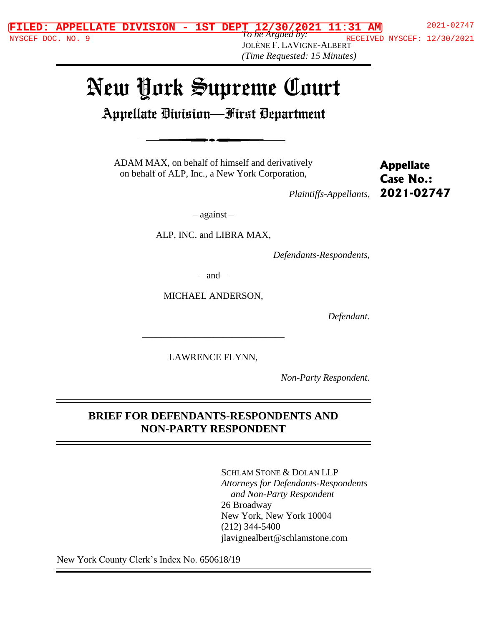*To be Argued by:* JOLÈNE F. LAVIGNE-ALBERT *(Time Requested: 15 Minutes)* NYSCEF DOC. NO. 9  $10 \text{ }$  De Argued by:<br> $\frac{10 \text{ }$  RECEIVED NYSCEF: 12/30/2021

# New York Supreme Court

Appellate Division—First Department

ADAM MAX, on behalf of himself and derivatively on behalf of ALP, Inc., a New York Corporation,

**Appellate Case No.: 2021-02747**

*Plaintiffs-Appellants,*

– against –

ALP, INC. and LIBRA MAX,

*Defendants-Respondents,*

 $=$  and  $=$ 

MICHAEL ANDERSON,

*Defendant.*

LAWRENCE FLYNN,

––––––––––––––––––––––––––––––

*Non-Party Respondent.*

#### **BRIEF FOR DEFENDANTS-RESPONDENTS AND NON-PARTY RESPONDENT**

SCHLAM STONE & DOLAN LLP *Attorneys for Defendants-Respondents and Non-Party Respondent* 26 Broadway New York, New York 10004 (212) 344-5400 jlavignealbert@schlamstone.com

New York County Clerk's Index No. 650618/19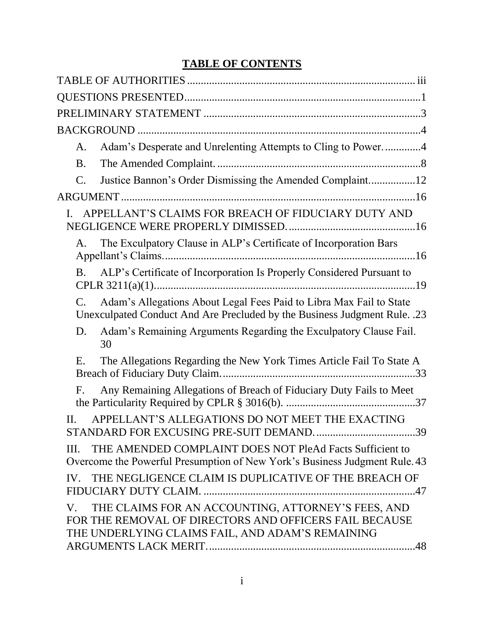# **TABLE OF CONTENTS**

| Adam's Desperate and Unrelenting Attempts to Cling to Power4<br>A.                                                                                                              |  |
|---------------------------------------------------------------------------------------------------------------------------------------------------------------------------------|--|
| <b>B.</b>                                                                                                                                                                       |  |
| Justice Bannon's Order Dismissing the Amended Complaint12<br>C.                                                                                                                 |  |
|                                                                                                                                                                                 |  |
| APPELLANT'S CLAIMS FOR BREACH OF FIDUCIARY DUTY AND                                                                                                                             |  |
| The Exculpatory Clause in ALP's Certificate of Incorporation Bars<br>A.                                                                                                         |  |
| ALP's Certificate of Incorporation Is Properly Considered Pursuant to<br><b>B.</b>                                                                                              |  |
| Adam's Allegations About Legal Fees Paid to Libra Max Fail to State<br>C.<br>Unexculpated Conduct And Are Precluded by the Business Judgment Rule. .23                          |  |
| Adam's Remaining Arguments Regarding the Exculpatory Clause Fail.<br>D.<br>30                                                                                                   |  |
| The Allegations Regarding the New York Times Article Fail To State A<br>Ε.                                                                                                      |  |
| Any Remaining Allegations of Breach of Fiduciary Duty Fails to Meet<br>$F_{\cdot}$                                                                                              |  |
| APPELLANT'S ALLEGATIONS DO NOT MEET THE EXACTING<br>П.                                                                                                                          |  |
| THE AMENDED COMPLAINT DOES NOT PleAd Facts Sufficient to<br>III.<br>Overcome the Powerful Presumption of New York's Business Judgment Rule. 43                                  |  |
| IV. THE NEGLIGENCE CLAIM IS DUPLICATIVE OF THE BREACH OF                                                                                                                        |  |
| THE CLAIMS FOR AN ACCOUNTING, ATTORNEY'S FEES, AND<br>$V_{\cdot}$<br>FOR THE REMOVAL OF DIRECTORS AND OFFICERS FAIL BECAUSE<br>THE UNDERLYING CLAIMS FAIL, AND ADAM'S REMAINING |  |
|                                                                                                                                                                                 |  |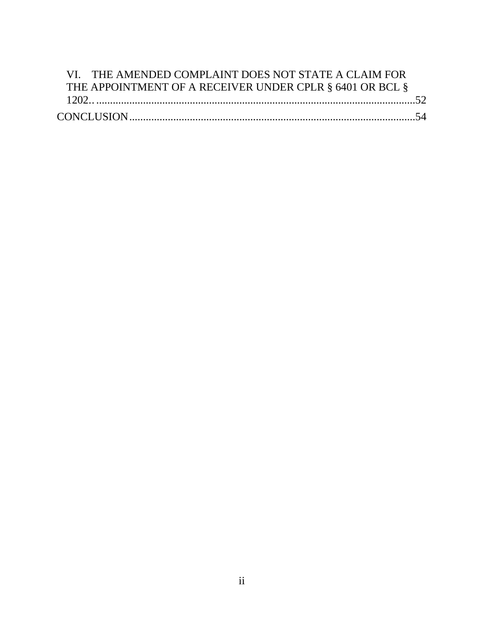| VI. THE AMENDED COMPLAINT DOES NOT STATE A CLAIM FOR     |  |
|----------------------------------------------------------|--|
| THE APPOINTMENT OF A RECEIVER UNDER CPLR § 6401 OR BCL § |  |
|                                                          |  |
|                                                          |  |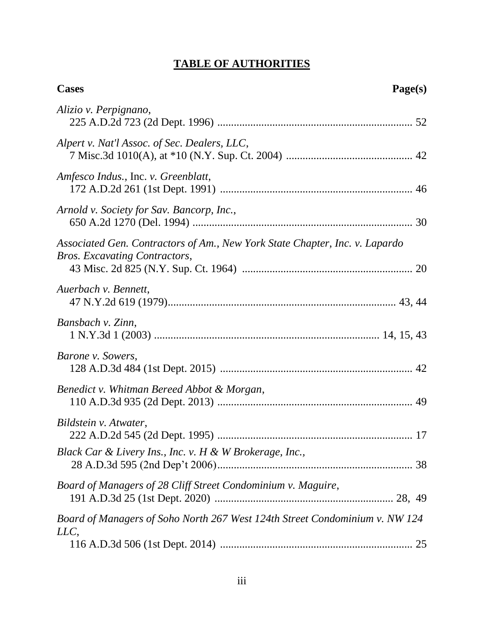# **TABLE OF AUTHORITIES**

| <b>Cases</b><br>Page(s)                                                                                      |  |
|--------------------------------------------------------------------------------------------------------------|--|
| Alizio v. Perpignano,                                                                                        |  |
| Alpert v. Nat'l Assoc. of Sec. Dealers, LLC,                                                                 |  |
| Amfesco Indus., Inc. v. Greenblatt,                                                                          |  |
| Arnold v. Society for Sav. Bancorp, Inc.,                                                                    |  |
| Associated Gen. Contractors of Am., New York State Chapter, Inc. v. Lapardo<br>Bros. Excavating Contractors, |  |
| Auerbach v. Bennett,                                                                                         |  |
| Bansbach v. Zinn,                                                                                            |  |
| Barone v. Sowers,                                                                                            |  |
| Benedict v. Whitman Bereed Abbot & Morgan,                                                                   |  |
| Bildstein v. Atwater,                                                                                        |  |
| Black Car & Livery Ins., Inc. v. H & W Brokerage, Inc.,                                                      |  |
| Board of Managers of 28 Cliff Street Condominium v. Maguire,                                                 |  |
| Board of Managers of Soho North 267 West 124th Street Condominium v. NW 124<br>LLC,                          |  |
|                                                                                                              |  |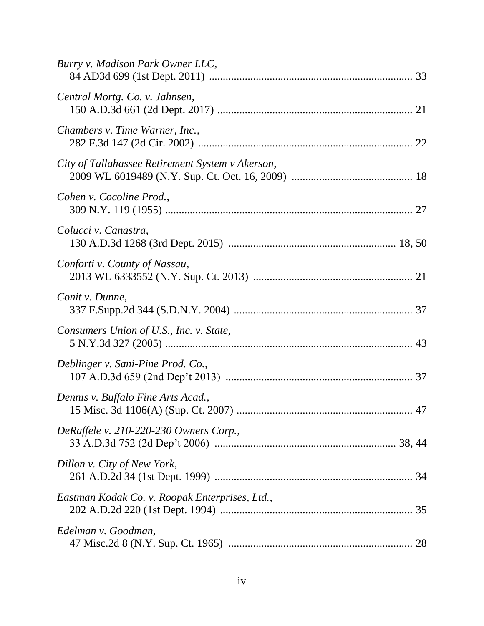| Burry v. Madison Park Owner LLC,                                                  |
|-----------------------------------------------------------------------------------|
| Central Mortg. Co. v. Jahnsen,                                                    |
| Chambers v. Time Warner, Inc.,                                                    |
| City of Tallahassee Retirement System v Akerson,                                  |
| Cohen v. Cocoline Prod.,                                                          |
| Colucci v. Canastra,                                                              |
| Conforti v. County of Nassau,                                                     |
| Conit v. Dunne,                                                                   |
| Consumers Union of U.S., Inc. v. State,                                           |
| Deblinger v. Sani-Pine Prod. Co.,                                                 |
| Dennis v. Buffalo Fine Arts Acad.,<br>15 Misc. 3d 1106(A) (Sup. Ct. 2007)<br>. 47 |
| DeRaffele v. 210-220-230 Owners Corp.,                                            |
| Dillon v. City of New York,                                                       |
| Eastman Kodak Co. v. Roopak Enterprises, Ltd.,                                    |
| Edelman v. Goodman,                                                               |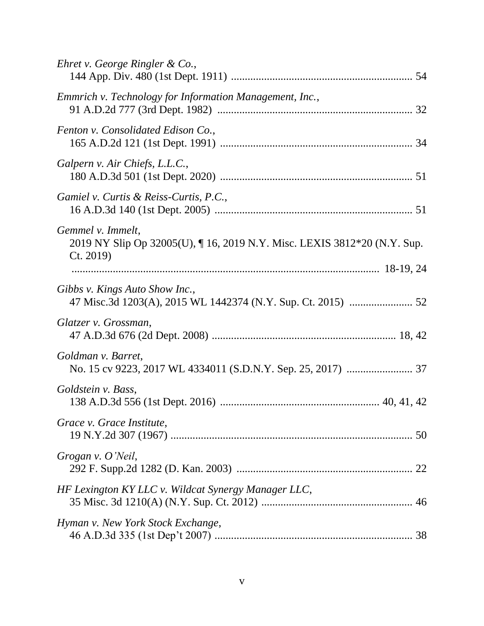| Ehret v. George Ringler & Co.,                                                                          |
|---------------------------------------------------------------------------------------------------------|
| Emmrich v. Technology for Information Management, Inc.,                                                 |
| Fenton v. Consolidated Edison Co.,                                                                      |
| Galpern v. Air Chiefs, L.L.C.,                                                                          |
| Gamiel v. Curtis & Reiss-Curtis, P.C.,                                                                  |
| Gemmel v. Immelt,<br>2019 NY Slip Op 32005(U), 16, 2019 N.Y. Misc. LEXIS 3812*20 (N.Y. Sup.<br>Ct. 2019 |
| Gibbs v. Kings Auto Show Inc.,                                                                          |
| Glatzer v. Grossman,                                                                                    |
| Goldman v. Barret,                                                                                      |
| Goldstein v. Bass,                                                                                      |
| Grace v. Grace Institute,                                                                               |
| Grogan v. O'Neil,                                                                                       |
| HF Lexington KY LLC v. Wildcat Synergy Manager LLC,                                                     |
| Hyman v. New York Stock Exchange,                                                                       |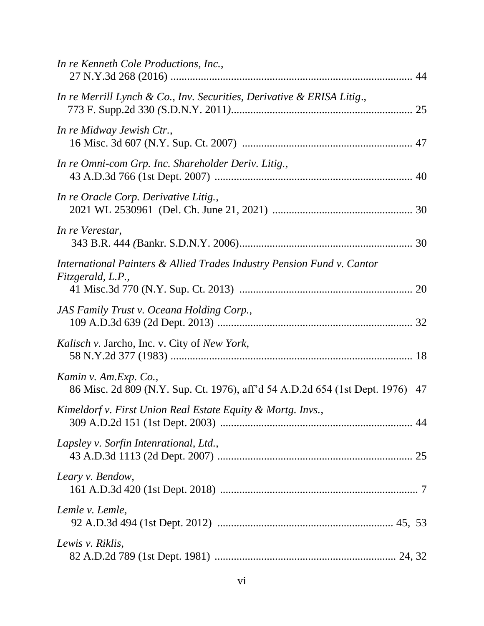| In re Kenneth Cole Productions, Inc.,                                                                  |  |
|--------------------------------------------------------------------------------------------------------|--|
| In re Merrill Lynch & Co., Inv. Securities, Derivative & ERISA Litig.,                                 |  |
| In re Midway Jewish Ctr.,                                                                              |  |
| In re Omni-com Grp. Inc. Shareholder Deriv. Litig.,                                                    |  |
| In re Oracle Corp. Derivative Litig.,                                                                  |  |
| In re Verestar,                                                                                        |  |
| International Painters & Allied Trades Industry Pension Fund v. Cantor<br>Fitzgerald, L.P.,            |  |
| JAS Family Trust v. Oceana Holding Corp.,                                                              |  |
| <i>Kalisch v. Jarcho, Inc. v. City of New York,</i>                                                    |  |
| Kamin v. Am.Exp. Co.,<br>86 Misc. 2d 809 (N.Y. Sup. Ct. 1976), aff'd 54 A.D.2d 654 (1st Dept. 1976) 47 |  |
| Kimeldorf v. First Union Real Estate Equity & Mortg. Invs.,                                            |  |
| Lapsley v. Sorfin Intenrational, Ltd.,                                                                 |  |
| Leary v. Bendow,                                                                                       |  |
| Lemle v. Lemle,                                                                                        |  |
| Lewis v. Riklis,                                                                                       |  |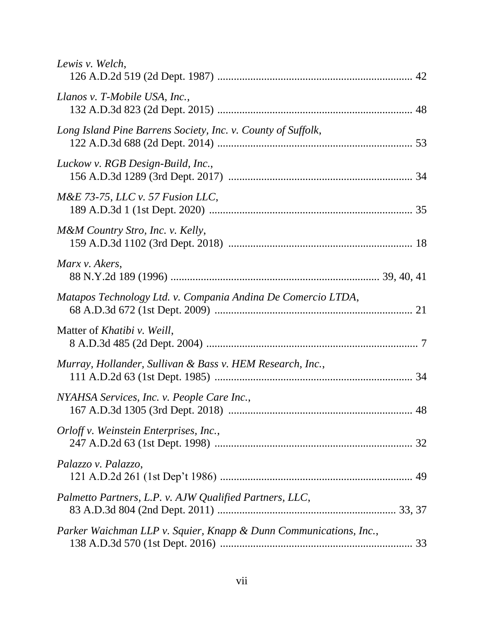| Lewis v. Welch,                                                   |    |
|-------------------------------------------------------------------|----|
| Llanos v. T-Mobile USA, Inc.,                                     |    |
| Long Island Pine Barrens Society, Inc. v. County of Suffolk,      |    |
| Luckow v. RGB Design-Build, Inc.,                                 |    |
| $M\&E$ 73-75, LLC v. 57 Fusion LLC,                               |    |
| M&M Country Stro, Inc. v. Kelly,                                  |    |
| Marx v. Akers,                                                    |    |
| Matapos Technology Ltd. v. Compania Andina De Comercio LTDA,      |    |
| Matter of <i>Khatibi</i> v. Weill,                                |    |
| Murray, Hollander, Sullivan & Bass v. HEM Research, Inc.,         |    |
| NYAHSA Services, Inc. v. People Care Inc.,                        | 48 |
| Orloff v. Weinstein Enterprises, Inc.,                            |    |
| Palazzo v. Palazzo,                                               |    |
| Palmetto Partners, L.P. v. AJW Qualified Partners, LLC,           |    |
| Parker Waichman LLP v. Squier, Knapp & Dunn Communications, Inc., |    |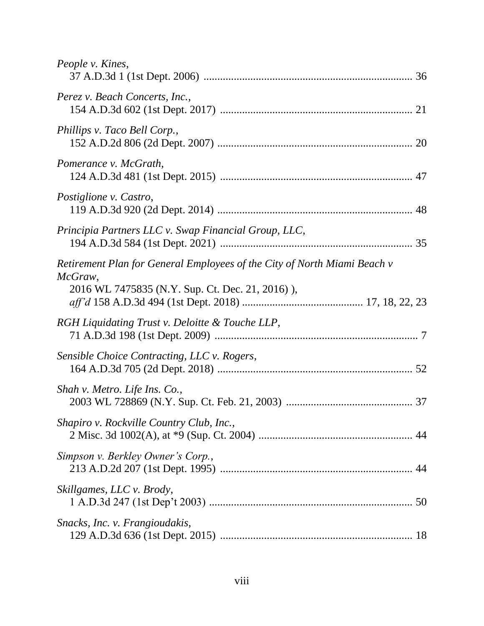| People v. Kines,                                                                                                                      |  |
|---------------------------------------------------------------------------------------------------------------------------------------|--|
| Perez v. Beach Concerts, Inc.,                                                                                                        |  |
| Phillips v. Taco Bell Corp.,                                                                                                          |  |
| Pomerance v. McGrath,                                                                                                                 |  |
| Postiglione v. Castro,                                                                                                                |  |
| Principia Partners LLC v. Swap Financial Group, LLC,                                                                                  |  |
| Retirement Plan for General Employees of the City of North Miami Beach v<br>McGraw,<br>2016 WL 7475835 (N.Y. Sup. Ct. Dec. 21, 2016), |  |
| RGH Liquidating Trust v. Deloitte & Touche LLP,                                                                                       |  |
| Sensible Choice Contracting, LLC v. Rogers,                                                                                           |  |
| Shah v. Metro. Life Ins. Co.,                                                                                                         |  |
| Shapiro v. Rockville Country Club, Inc.,                                                                                              |  |
| Simpson v. Berkley Owner's Corp.,                                                                                                     |  |
| Skillgames, LLC v. Brody,                                                                                                             |  |
| Snacks, Inc. v. Frangioudakis,                                                                                                        |  |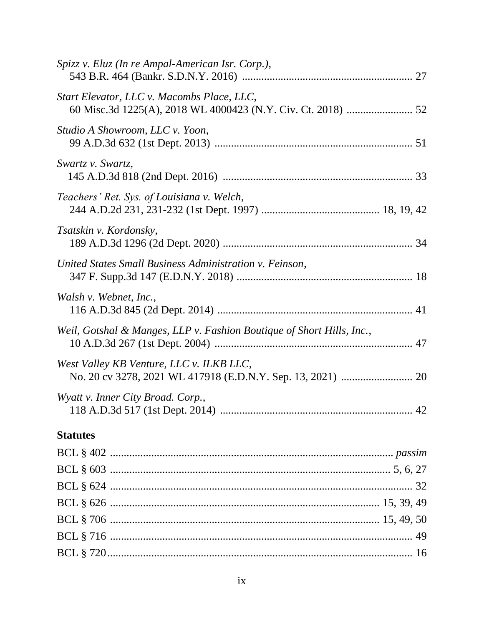| Spizz v. Eluz (In re Ampal-American Isr. Corp.),                      |
|-----------------------------------------------------------------------|
| Start Elevator, LLC v. Macombs Place, LLC,                            |
| Studio A Showroom, LLC v. Yoon,                                       |
| Swartz v. Swartz,                                                     |
| Teachers' Ret. Sys. of Louisiana v. Welch,                            |
| Tsatskin v. Kordonsky,                                                |
| United States Small Business Administration v. Feinson,               |
| Walsh v. Webnet, Inc.,                                                |
| Weil, Gotshal & Manges, LLP v. Fashion Boutique of Short Hills, Inc., |
| West Valley KB Venture, LLC v. ILKB LLC,                              |
| Wyatt v. Inner City Broad. Corp.,                                     |
| <b>Statutes</b>                                                       |
|                                                                       |
|                                                                       |
|                                                                       |
|                                                                       |
|                                                                       |
|                                                                       |
|                                                                       |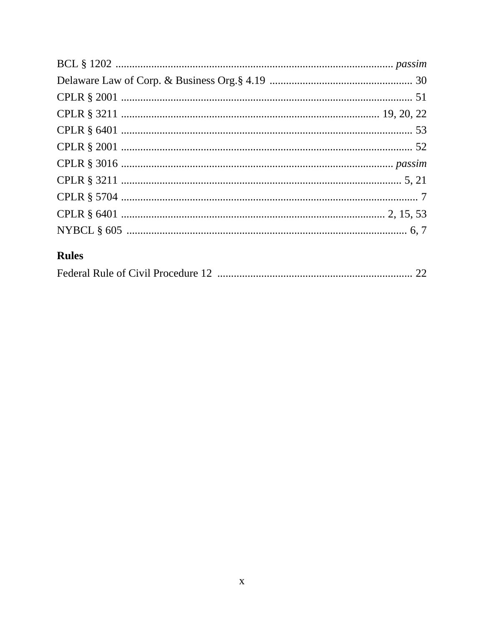# **Rules**

|--|--|--|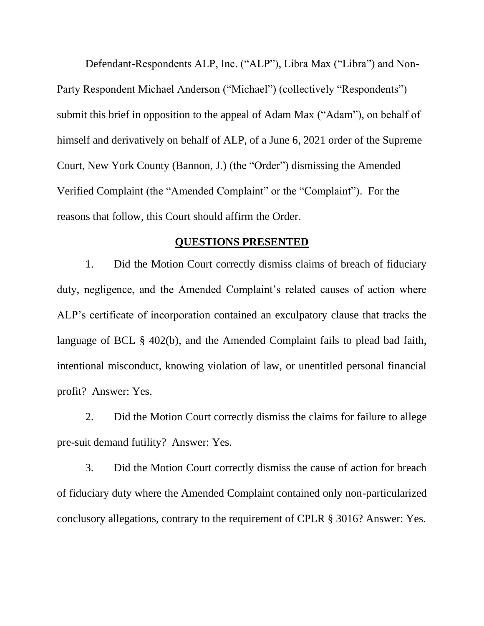Defendant-Respondents ALP, Inc. ("ALP"), Libra Max ("Libra") and Non-Party Respondent Michael Anderson ("Michael") (collectively "Respondents") submit this brief in opposition to the appeal of Adam Max ("Adam"), on behalf of himself and derivatively on behalf of ALP, of a June 6, 2021 order of the Supreme Court, New York County (Bannon, J.) (the "Order") dismissing the Amended Verified Complaint (the "Amended Complaint" or the "Complaint"). For the reasons that follow, this Court should affirm the Order.

#### **QUESTIONS PRESENTED**

<span id="page-11-0"></span>1. Did the Motion Court correctly dismiss claims of breach of fiduciary duty, negligence, and the Amended Complaint's related causes of action where ALP's certificate of incorporation contained an exculpatory clause that tracks the language of BCL § 402(b), and the Amended Complaint fails to plead bad faith, intentional misconduct, knowing violation of law, or unentitled personal financial profit? Answer: Yes.

2. Did the Motion Court correctly dismiss the claims for failure to allege pre-suit demand futility? Answer: Yes.

3. Did the Motion Court correctly dismiss the cause of action for breach of fiduciary duty where the Amended Complaint contained only non-particularized conclusory allegations, contrary to the requirement of CPLR § 3016? Answer: Yes.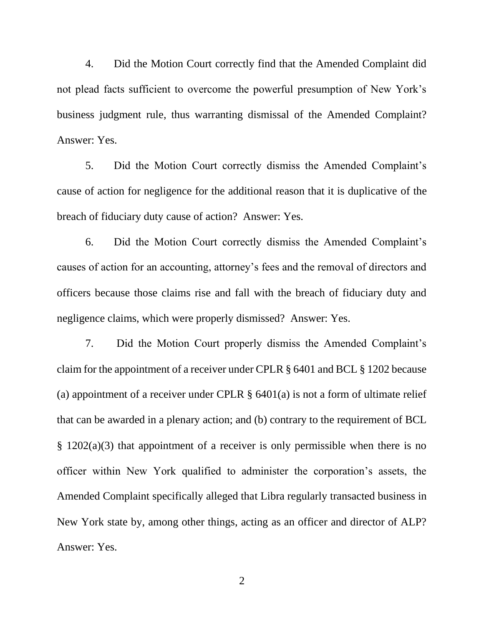4. Did the Motion Court correctly find that the Amended Complaint did not plead facts sufficient to overcome the powerful presumption of New York's business judgment rule, thus warranting dismissal of the Amended Complaint? Answer: Yes.

5. Did the Motion Court correctly dismiss the Amended Complaint's cause of action for negligence for the additional reason that it is duplicative of the breach of fiduciary duty cause of action? Answer: Yes.

6. Did the Motion Court correctly dismiss the Amended Complaint's causes of action for an accounting, attorney's fees and the removal of directors and officers because those claims rise and fall with the breach of fiduciary duty and negligence claims, which were properly dismissed? Answer: Yes.

<span id="page-12-0"></span>7. Did the Motion Court properly dismiss the Amended Complaint's claim for the appointment of a receiver under CPLR § 6401 and BCL § 1202 because (a) appointment of a receiver under CPLR  $\S$  6401(a) is not a form of ultimate relief that can be awarded in a plenary action; and (b) contrary to the requirement of BCL § 1202(a)(3) that appointment of a receiver is only permissible when there is no officer within New York qualified to administer the corporation's assets, the Amended Complaint specifically alleged that Libra regularly transacted business in New York state by, among other things, acting as an officer and director of ALP? Answer: Yes.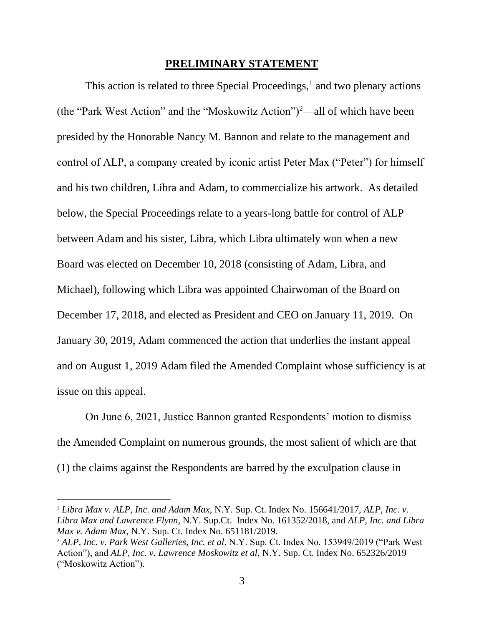#### **PRELIMINARY STATEMENT**

<span id="page-13-0"></span>This action is related to three Special Proceedings, $<sup>1</sup>$  and two plenary actions</sup> (the "Park West Action" and the "Moskowitz Action")<sup>2</sup>—all of which have been presided by the Honorable Nancy M. Bannon and relate to the management and control of ALP, a company created by iconic artist Peter Max ("Peter") for himself and his two children, Libra and Adam, to commercialize his artwork. As detailed below, the Special Proceedings relate to a years-long battle for control of ALP between Adam and his sister, Libra, which Libra ultimately won when a new Board was elected on December 10, 2018 (consisting of Adam, Libra, and Michael), following which Libra was appointed Chairwoman of the Board on December 17, 2018, and elected as President and CEO on January 11, 2019. On January 30, 2019, Adam commenced the action that underlies the instant appeal and on August 1, 2019 Adam filed the Amended Complaint whose sufficiency is at issue on this appeal.

On June 6, 2021, Justice Bannon granted Respondents' motion to dismiss the Amended Complaint on numerous grounds, the most salient of which are that (1) the claims against the Respondents are barred by the exculpation clause in

<sup>1</sup> *Libra Max v. ALP, Inc. and Adam Max*, N.Y. Sup. Ct. Index No. 156641/2017, *ALP, Inc. v. Libra Max and Lawrence Flynn*, N.Y. Sup.Ct. Index No. 161352/2018, and *ALP, Inc. and Libra Max v. Adam Max*, N.Y. Sup. Ct. Index No. 651181/2019.

<sup>2</sup> *ALP, Inc. v. Park West Galleries, Inc. et al*, N.Y. Sup. Ct. Index No. 153949/2019 ("Park West Action"), and *ALP, Inc. v. Lawrence Moskowitz et al*, N.Y. Sup. Ct. Index No. 652326/2019 ("Moskowitz Action").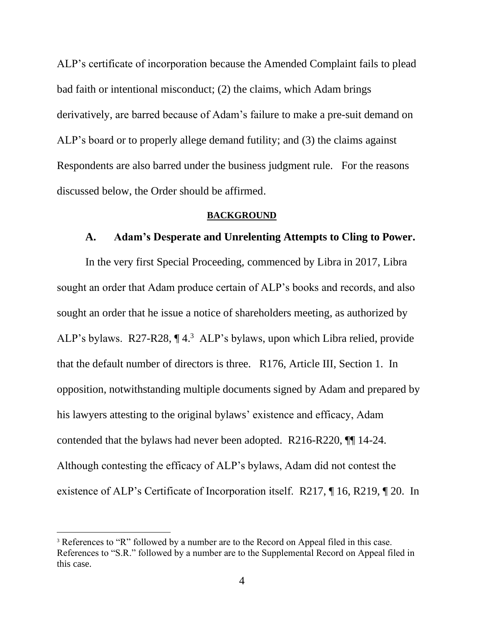ALP's certificate of incorporation because the Amended Complaint fails to plead bad faith or intentional misconduct; (2) the claims, which Adam brings derivatively, are barred because of Adam's failure to make a pre-suit demand on ALP's board or to properly allege demand futility; and (3) the claims against Respondents are also barred under the business judgment rule. For the reasons discussed below, the Order should be affirmed.

#### **BACKGROUND**

#### <span id="page-14-0"></span>**A. Adam's Desperate and Unrelenting Attempts to Cling to Power.**

<span id="page-14-1"></span>In the very first Special Proceeding, commenced by Libra in 2017, Libra sought an order that Adam produce certain of ALP's books and records, and also sought an order that he issue a notice of shareholders meeting, as authorized by ALP's bylaws. R27-R28, ¶ 4. 3 ALP's bylaws, upon which Libra relied, provide that the default number of directors is three. R176, Article III, Section 1. In opposition, notwithstanding multiple documents signed by Adam and prepared by his lawyers attesting to the original bylaws' existence and efficacy, Adam contended that the bylaws had never been adopted. R216-R220, ¶¶ 14-24. Although contesting the efficacy of ALP's bylaws, Adam did not contest the existence of ALP's Certificate of Incorporation itself. R217, ¶ 16, R219, ¶ 20. In

<sup>&</sup>lt;sup>3</sup> References to "R" followed by a number are to the Record on Appeal filed in this case. References to "S.R." followed by a number are to the Supplemental Record on Appeal filed in this case.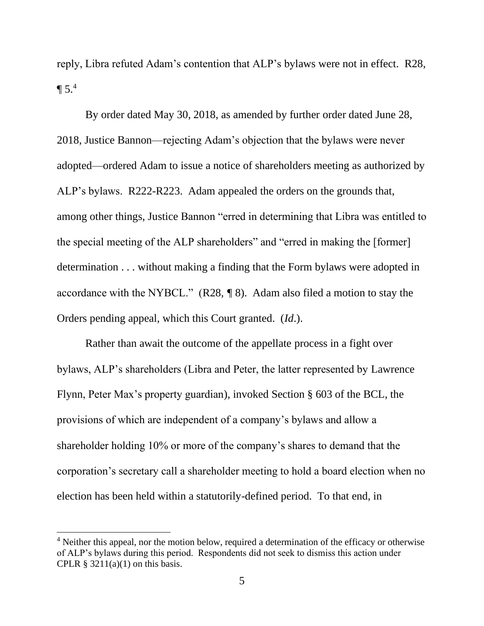reply, Libra refuted Adam's contention that ALP's bylaws were not in effect. R28,  $\P 5<sup>4</sup>$ 

By order dated May 30, 2018, as amended by further order dated June 28, 2018, Justice Bannon—rejecting Adam's objection that the bylaws were never adopted—ordered Adam to issue a notice of shareholders meeting as authorized by ALP's bylaws. R222-R223. Adam appealed the orders on the grounds that, among other things, Justice Bannon "erred in determining that Libra was entitled to the special meeting of the ALP shareholders" and "erred in making the [former] determination . . . without making a finding that the Form bylaws were adopted in accordance with the NYBCL." (R28*, ¶* 8). Adam also filed a motion to stay the Orders pending appeal, which this Court granted. (*Id*.).

<span id="page-15-0"></span>Rather than await the outcome of the appellate process in a fight over bylaws, ALP's shareholders (Libra and Peter, the latter represented by Lawrence Flynn, Peter Max's property guardian), invoked Section § 603 of the BCL, the provisions of which are independent of a company's bylaws and allow a shareholder holding 10% or more of the company's shares to demand that the corporation's secretary call a shareholder meeting to hold a board election when no election has been held within a statutorily-defined period. To that end, in

<span id="page-15-1"></span><sup>&</sup>lt;sup>4</sup> Neither this appeal, nor the motion below, required a determination of the efficacy or otherwise of ALP's bylaws during this period. Respondents did not seek to dismiss this action under CPLR  $\S$  3211(a)(1) on this basis.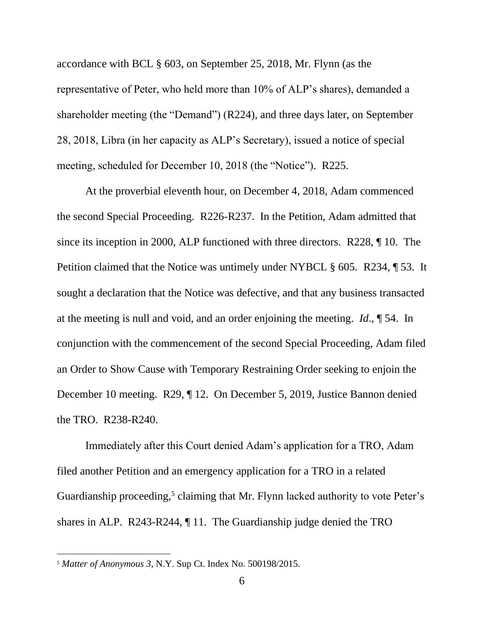<span id="page-16-0"></span>accordance with BCL § 603, on September 25, 2018, Mr. Flynn (as the representative of Peter, who held more than 10% of ALP's shares), demanded a shareholder meeting (the "Demand") (R224), and three days later, on September 28, 2018, Libra (in her capacity as ALP's Secretary), issued a notice of special meeting, scheduled for December 10, 2018 (the "Notice"). R225.

<span id="page-16-1"></span>At the proverbial eleventh hour, on December 4, 2018, Adam commenced the second Special Proceeding. R226-R237. In the Petition, Adam admitted that since its inception in 2000, ALP functioned with three directors. R228, ¶ 10. The Petition claimed that the Notice was untimely under NYBCL § 605. R234, ¶ 53. It sought a declaration that the Notice was defective, and that any business transacted at the meeting is null and void, and an order enjoining the meeting. *Id*., ¶ 54. In conjunction with the commencement of the second Special Proceeding, Adam filed an Order to Show Cause with Temporary Restraining Order seeking to enjoin the December 10 meeting. R29, ¶ 12. On December 5, 2019, Justice Bannon denied the TRO. R238-R240.

Immediately after this Court denied Adam's application for a TRO, Adam filed another Petition and an emergency application for a TRO in a related Guardianship proceeding,<sup>5</sup> claiming that Mr. Flynn lacked authority to vote Peter's shares in ALP. R243-R244, ¶ 11. The Guardianship judge denied the TRO

<sup>5</sup> *Matter of Anonymous 3*, N.Y. Sup Ct. Index No. 500198/2015.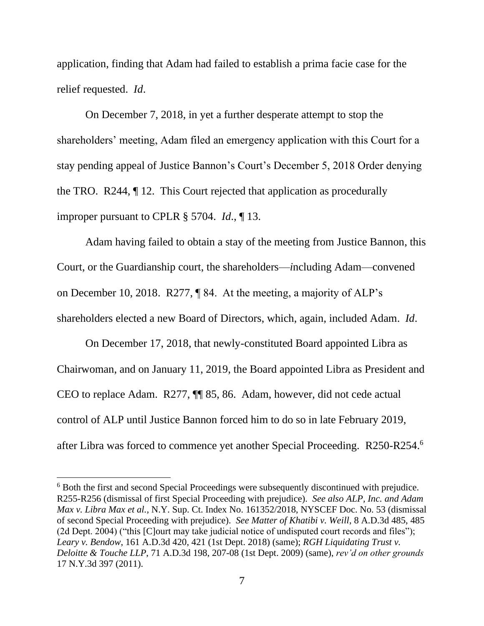<span id="page-17-4"></span>application, finding that Adam had failed to establish a prima facie case for the relief requested. *Id*.

On December 7, 2018, in yet a further desperate attempt to stop the shareholders' meeting, Adam filed an emergency application with this Court for a stay pending appeal of Justice Bannon's Court's December 5, 2018 Order denying the TRO. R244, ¶ 12. This Court rejected that application as procedurally improper pursuant to CPLR § 5704. *Id*., ¶ 13.

<span id="page-17-3"></span>Adam having failed to obtain a stay of the meeting from Justice Bannon, this Court, or the Guardianship court, the shareholders—*i*ncluding Adam—convened on December 10, 2018. R277, ¶ 84. At the meeting, a majority of ALP's shareholders elected a new Board of Directors, which, again, included Adam. *Id*.

On December 17, 2018, that newly-constituted Board appointed Libra as Chairwoman, and on January 11, 2019, the Board appointed Libra as President and CEO to replace Adam. R277, ¶¶ 85, 86. Adam, however, did not cede actual control of ALP until Justice Bannon forced him to do so in late February 2019, after Libra was forced to commence yet another Special Proceeding. R250-R254. 6

<span id="page-17-2"></span><span id="page-17-1"></span><span id="page-17-0"></span><sup>&</sup>lt;sup>6</sup> Both the first and second Special Proceedings were subsequently discontinued with prejudice. R255-R256 (dismissal of first Special Proceeding with prejudice). *See also ALP, Inc. and Adam Max v. Libra Max et al.,* N.Y. Sup. Ct. Index No. 161352/2018, NYSCEF Doc. No. 53 (dismissal of second Special Proceeding with prejudice). *See Matter of Khatibi v. Weill*, 8 A.D.3d 485, 485 (2d Dept. 2004) ("this [C]ourt may take judicial notice of undisputed court records and files"); *Leary v. Bendow*, 161 A.D.3d 420, 421 (1st Dept. 2018) (same); *RGH Liquidating Trust v. Deloitte & Touche LLP*, 71 A.D.3d 198, 207-08 (1st Dept. 2009) (same), *rev'd on other grounds* 17 N.Y.3d 397 (2011).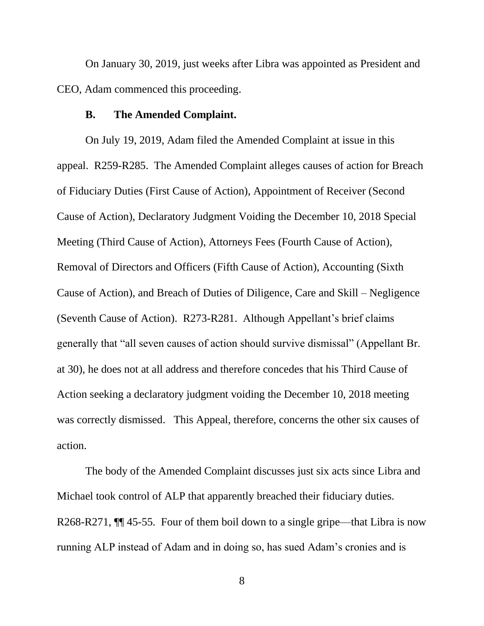On January 30, 2019, just weeks after Libra was appointed as President and CEO, Adam commenced this proceeding.

#### **B. The Amended Complaint.**

<span id="page-18-0"></span>On July 19, 2019, Adam filed the Amended Complaint at issue in this appeal. R259-R285. The Amended Complaint alleges causes of action for Breach of Fiduciary Duties (First Cause of Action), Appointment of Receiver (Second Cause of Action), Declaratory Judgment Voiding the December 10, 2018 Special Meeting (Third Cause of Action), Attorneys Fees (Fourth Cause of Action), Removal of Directors and Officers (Fifth Cause of Action), Accounting (Sixth Cause of Action), and Breach of Duties of Diligence, Care and Skill – Negligence (Seventh Cause of Action). R273-R281. Although Appellant's brief claims generally that "all seven causes of action should survive dismissal" (Appellant Br. at 30), he does not at all address and therefore concedes that his Third Cause of Action seeking a declaratory judgment voiding the December 10, 2018 meeting was correctly dismissed. This Appeal, therefore, concerns the other six causes of action.

The body of the Amended Complaint discusses just six acts since Libra and Michael took control of ALP that apparently breached their fiduciary duties. R268-R271,  $\P$  45-55. Four of them boil down to a single gripe—that Libra is now running ALP instead of Adam and in doing so, has sued Adam's cronies and is

8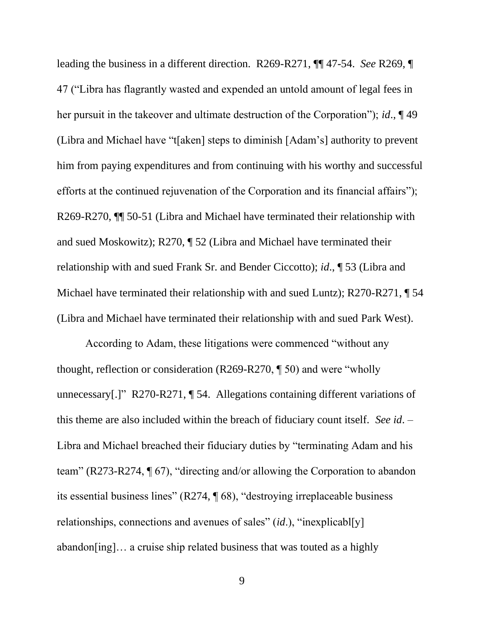leading the business in a different direction. R269-R271, ¶¶ 47-54. *See* R269, ¶ 47 ("Libra has flagrantly wasted and expended an untold amount of legal fees in her pursuit in the takeover and ultimate destruction of the Corporation"); *id*., ¶ 49 (Libra and Michael have "t[aken] steps to diminish [Adam's] authority to prevent him from paying expenditures and from continuing with his worthy and successful efforts at the continued rejuvenation of the Corporation and its financial affairs"); R269-R270,  $\P$  50-51 (Libra and Michael have terminated their relationship with and sued Moskowitz); R270, ¶ 52 (Libra and Michael have terminated their relationship with and sued Frank Sr. and Bender Ciccotto); *id*., ¶ 53 (Libra and Michael have terminated their relationship with and sued Luntz); R270-R271, ¶ 54 (Libra and Michael have terminated their relationship with and sued Park West).

According to Adam, these litigations were commenced "without any thought, reflection or consideration (R269-R270, ¶ 50) and were "wholly unnecessary[.]" R270-R271, ¶ 54. Allegations containing different variations of this theme are also included within the breach of fiduciary count itself. *See id*. – Libra and Michael breached their fiduciary duties by "terminating Adam and his team" (R273-R274, ¶ 67), "directing and/or allowing the Corporation to abandon its essential business lines" (R274, ¶ 68), "destroying irreplaceable business relationships, connections and avenues of sales" (*id*.), "inexplicabl[y] abandon[ing]… a cruise ship related business that was touted as a highly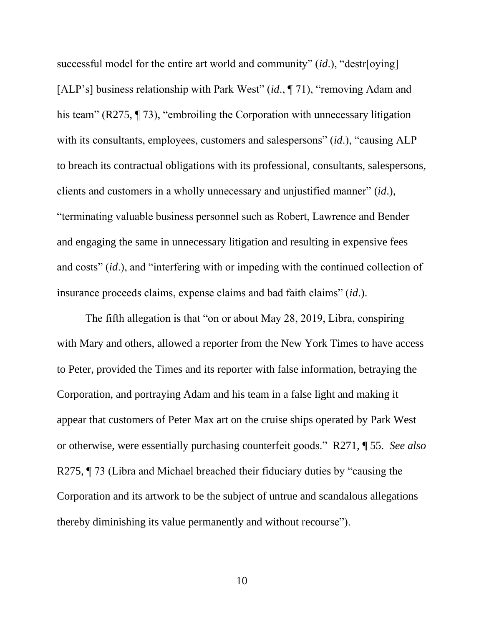successful model for the entire art world and community" (*id*.), "destr[oying] [ALP's] business relationship with Park West" (*id*., ¶ 71), "removing Adam and his team" (R275, ¶ 73), "embroiling the Corporation with unnecessary litigation with its consultants, employees, customers and salespersons" *(id.)*, "causing ALP to breach its contractual obligations with its professional, consultants, salespersons, clients and customers in a wholly unnecessary and unjustified manner" (*id*.), "terminating valuable business personnel such as Robert, Lawrence and Bender and engaging the same in unnecessary litigation and resulting in expensive fees and costs" (*id*.), and "interfering with or impeding with the continued collection of insurance proceeds claims, expense claims and bad faith claims" (*id*.).

The fifth allegation is that "on or about May 28, 2019, Libra, conspiring with Mary and others, allowed a reporter from the New York Times to have access to Peter, provided the Times and its reporter with false information, betraying the Corporation, and portraying Adam and his team in a false light and making it appear that customers of Peter Max art on the cruise ships operated by Park West or otherwise, were essentially purchasing counterfeit goods." R271, ¶ 55. *See also* R275, ¶ 73 (Libra and Michael breached their fiduciary duties by "causing the Corporation and its artwork to be the subject of untrue and scandalous allegations thereby diminishing its value permanently and without recourse").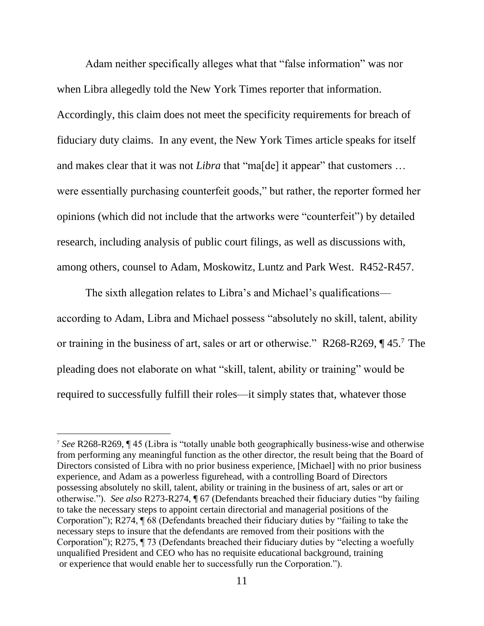Adam neither specifically alleges what that "false information" was nor when Libra allegedly told the New York Times reporter that information. Accordingly, this claim does not meet the specificity requirements for breach of fiduciary duty claims. In any event, the New York Times article speaks for itself and makes clear that it was not *Libra* that "ma[de] it appear" that customers ... were essentially purchasing counterfeit goods," but rather, the reporter formed her opinions (which did not include that the artworks were "counterfeit") by detailed research, including analysis of public court filings, as well as discussions with, among others, counsel to Adam, Moskowitz, Luntz and Park West. R452-R457.

The sixth allegation relates to Libra's and Michael's qualifications according to Adam, Libra and Michael possess "absolutely no skill, talent, ability or training in the business of art, sales or art or otherwise." R268-R269,  $\P$ 45.<sup>7</sup> The pleading does not elaborate on what "skill, talent, ability or training" would be required to successfully fulfill their roles—it simply states that, whatever those

<sup>7</sup> *See* R268-R269, ¶ 45 (Libra is "totally unable both geographically business-wise and otherwise from performing any meaningful function as the other director, the result being that the Board of Directors consisted of Libra with no prior business experience, [Michael] with no prior business experience, and Adam as a powerless figurehead, with a controlling Board of Directors possessing absolutely no skill, talent, ability or training in the business of art, sales or art or otherwise."). *See also* R273-R274, ¶ 67 (Defendants breached their fiduciary duties "by failing to take the necessary steps to appoint certain directorial and managerial positions of the Corporation"); R274, ¶ 68 (Defendants breached their fiduciary duties by "failing to take the necessary steps to insure that the defendants are removed from their positions with the Corporation"); R275, ¶ 73 (Defendants breached their fiduciary duties by "electing a woefully unqualified President and CEO who has no requisite educational background, training or experience that would enable her to successfully run the Corporation.").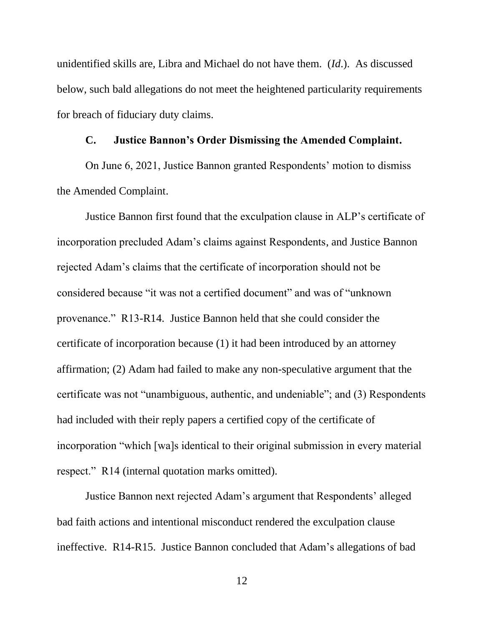unidentified skills are, Libra and Michael do not have them. (*Id*.). As discussed below, such bald allegations do not meet the heightened particularity requirements for breach of fiduciary duty claims.

#### **C. Justice Bannon's Order Dismissing the Amended Complaint.**

<span id="page-22-0"></span>On June 6, 2021, Justice Bannon granted Respondents' motion to dismiss the Amended Complaint.

Justice Bannon first found that the exculpation clause in ALP's certificate of incorporation precluded Adam's claims against Respondents, and Justice Bannon rejected Adam's claims that the certificate of incorporation should not be considered because "it was not a certified document" and was of "unknown provenance." R13-R14. Justice Bannon held that she could consider the certificate of incorporation because (1) it had been introduced by an attorney affirmation; (2) Adam had failed to make any non-speculative argument that the certificate was not "unambiguous, authentic, and undeniable"; and (3) Respondents had included with their reply papers a certified copy of the certificate of incorporation "which [wa]s identical to their original submission in every material respect." R14 (internal quotation marks omitted).

Justice Bannon next rejected Adam's argument that Respondents' alleged bad faith actions and intentional misconduct rendered the exculpation clause ineffective. R14-R15. Justice Bannon concluded that Adam's allegations of bad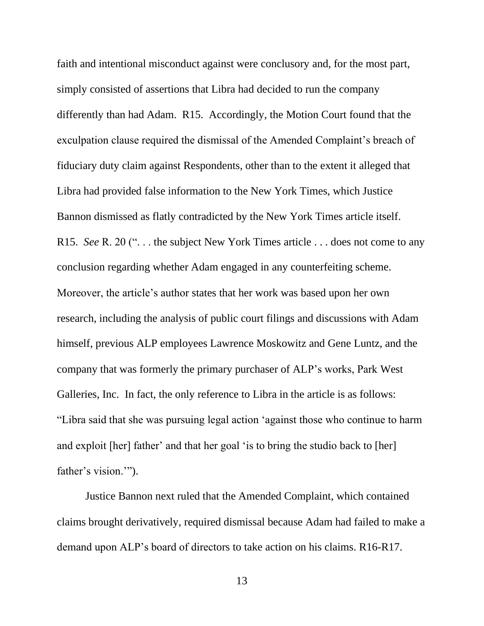faith and intentional misconduct against were conclusory and, for the most part, simply consisted of assertions that Libra had decided to run the company differently than had Adam. R15. Accordingly, the Motion Court found that the exculpation clause required the dismissal of the Amended Complaint's breach of fiduciary duty claim against Respondents, other than to the extent it alleged that Libra had provided false information to the New York Times, which Justice Bannon dismissed as flatly contradicted by the New York Times article itself. R15. *See* R. 20 (". . . the subject New York Times article . . . does not come to any conclusion regarding whether Adam engaged in any counterfeiting scheme. Moreover, the article's author states that her work was based upon her own research, including the analysis of public court filings and discussions with Adam himself, previous ALP employees Lawrence Moskowitz and Gene Luntz, and the company that was formerly the primary purchaser of ALP's works, Park West Galleries, Inc. In fact, the only reference to Libra in the article is as follows: "Libra said that she was pursuing legal action 'against those who continue to harm and exploit [her] father' and that her goal 'is to bring the studio back to [her] father's vision."").

Justice Bannon next ruled that the Amended Complaint, which contained claims brought derivatively, required dismissal because Adam had failed to make a demand upon ALP's board of directors to take action on his claims. R16-R17.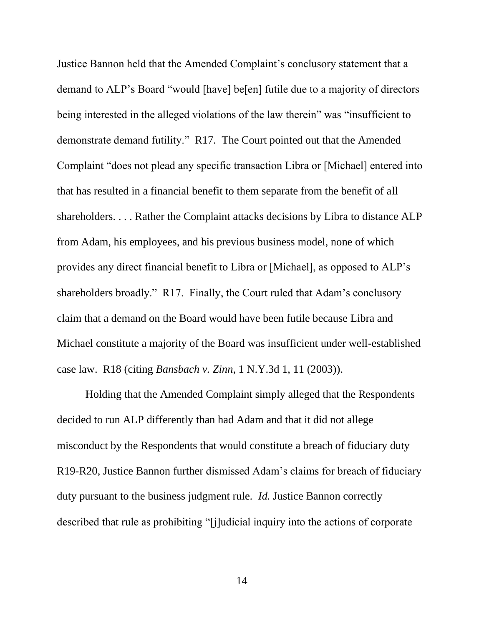Justice Bannon held that the Amended Complaint's conclusory statement that a demand to ALP's Board "would [have] be[en] futile due to a majority of directors being interested in the alleged violations of the law therein" was "insufficient to demonstrate demand futility." R17. The Court pointed out that the Amended Complaint "does not plead any specific transaction Libra or [Michael] entered into that has resulted in a financial benefit to them separate from the benefit of all shareholders. . . . Rather the Complaint attacks decisions by Libra to distance ALP from Adam, his employees, and his previous business model, none of which provides any direct financial benefit to Libra or [Michael], as opposed to ALP's shareholders broadly." R17. Finally, the Court ruled that Adam's conclusory claim that a demand on the Board would have been futile because Libra and Michael constitute a majority of the Board was insufficient under well-established case law. R18 (citing *Bansbach v. Zinn*, 1 N.Y.3d 1, 11 (2003)).

<span id="page-24-0"></span>Holding that the Amended Complaint simply alleged that the Respondents decided to run ALP differently than had Adam and that it did not allege misconduct by the Respondents that would constitute a breach of fiduciary duty R19-R20, Justice Bannon further dismissed Adam's claims for breach of fiduciary duty pursuant to the business judgment rule. *Id.* Justice Bannon correctly described that rule as prohibiting "[j]udicial inquiry into the actions of corporate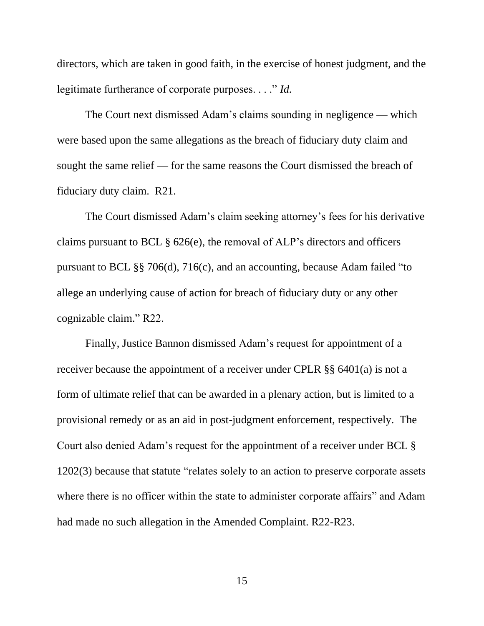<span id="page-25-0"></span>directors, which are taken in good faith, in the exercise of honest judgment, and the legitimate furtherance of corporate purposes. . . ." *Id.*

The Court next dismissed Adam's claims sounding in negligence — which were based upon the same allegations as the breach of fiduciary duty claim and sought the same relief — for the same reasons the Court dismissed the breach of fiduciary duty claim. R21.

<span id="page-25-2"></span><span id="page-25-1"></span>The Court dismissed Adam's claim seeking attorney's fees for his derivative claims pursuant to BCL § 626(e), the removal of ALP's directors and officers pursuant to BCL §§ 706(d), 716(c), and an accounting, because Adam failed "to allege an underlying cause of action for breach of fiduciary duty or any other cognizable claim." R22.

<span id="page-25-3"></span>Finally, Justice Bannon dismissed Adam's request for appointment of a receiver because the appointment of a receiver under CPLR §§ 6401(a) is not a form of ultimate relief that can be awarded in a plenary action, but is limited to a provisional remedy or as an aid in post-judgment enforcement, respectively. The Court also denied Adam's request for the appointment of a receiver under BCL § 1202(3) because that statute "relates solely to an action to preserve corporate assets where there is no officer within the state to administer corporate affairs" and Adam had made no such allegation in the Amended Complaint. R22-R23.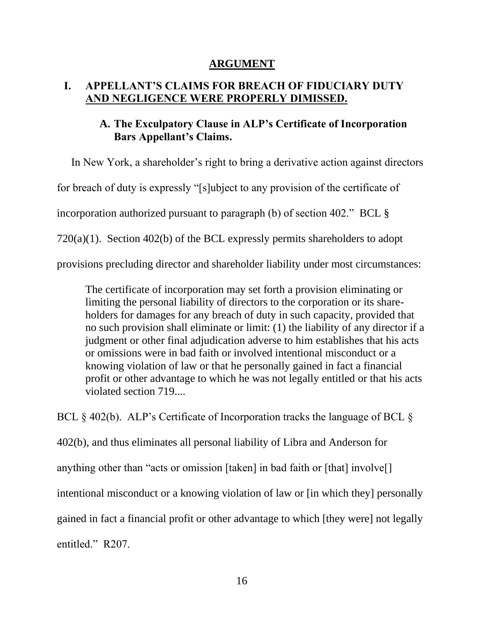#### <span id="page-26-3"></span>**ARGUMENT**

### <span id="page-26-2"></span><span id="page-26-1"></span><span id="page-26-0"></span>**I. APPELLANT'S CLAIMS FOR BREACH OF FIDUCIARY DUTY AND NEGLIGENCE WERE PROPERLY DIMISSED.**

## **A. The Exculpatory Clause in ALP's Certificate of Incorporation Bars Appellant's Claims.**

In New York, a shareholder's right to bring a derivative action against directors for breach of duty is expressly "[s]ubject to any provision of the certificate of incorporation authorized pursuant to paragraph (b) of section 402." BCL § 720(a)(1). Section 402(b) of the BCL expressly permits shareholders to adopt provisions precluding director and shareholder liability under most circumstances:

The certificate of incorporation may set forth a provision eliminating or limiting the personal liability of directors to the corporation or its shareholders for damages for any breach of duty in such capacity, provided that no such provision shall eliminate or limit: (1) the liability of any director if a judgment or other final adjudication adverse to him establishes that his acts or omissions were in bad faith or involved intentional misconduct or a knowing violation of law or that he personally gained in fact a financial profit or other advantage to which he was not legally entitled or that his acts violated section 719....

BCL § 402(b). ALP's Certificate of Incorporation tracks the language of BCL §

402(b), and thus eliminates all personal liability of Libra and Anderson for

anything other than "acts or omission [taken] in bad faith or [that] involve[]

intentional misconduct or a knowing violation of law or [in which they] personally

gained in fact a financial profit or other advantage to which [they were] not legally

entitled." R207.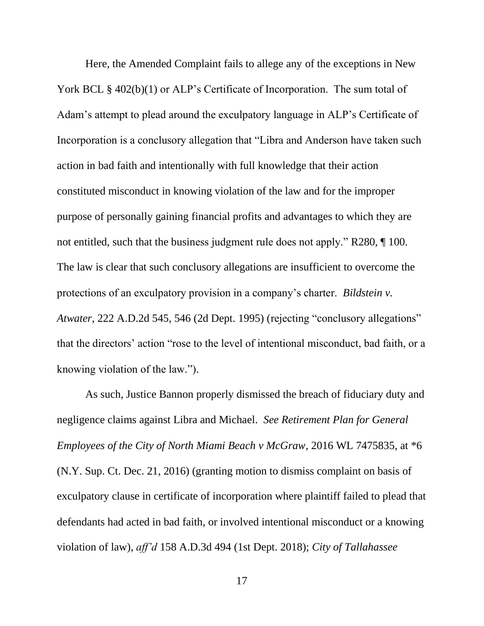Here, the Amended Complaint fails to allege any of the exceptions in New York BCL § 402(b)(1) or ALP's Certificate of Incorporation. The sum total of Adam's attempt to plead around the exculpatory language in ALP's Certificate of Incorporation is a conclusory allegation that "Libra and Anderson have taken such action in bad faith and intentionally with full knowledge that their action constituted misconduct in knowing violation of the law and for the improper purpose of personally gaining financial profits and advantages to which they are not entitled, such that the business judgment rule does not apply." R280, ¶ 100. The law is clear that such conclusory allegations are insufficient to overcome the protections of an exculpatory provision in a company's charter. *Bildstein v. Atwater*, 222 A.D.2d 545, 546 (2d Dept. 1995) (rejecting "conclusory allegations" that the directors' action "rose to the level of intentional misconduct, bad faith, or a knowing violation of the law.").

<span id="page-27-2"></span><span id="page-27-1"></span><span id="page-27-0"></span>As such, Justice Bannon properly dismissed the breach of fiduciary duty and negligence claims against Libra and Michael. *See Retirement Plan for General Employees of the City of North Miami Beach v McGraw*, 2016 WL 7475835, at \*6 (N.Y. Sup. Ct. Dec. 21, 2016) (granting motion to dismiss complaint on basis of exculpatory clause in certificate of incorporation where plaintiff failed to plead that defendants had acted in bad faith, or involved intentional misconduct or a knowing violation of law), *aff'd* 158 A.D.3d 494 (1st Dept. 2018); *City of Tallahassee*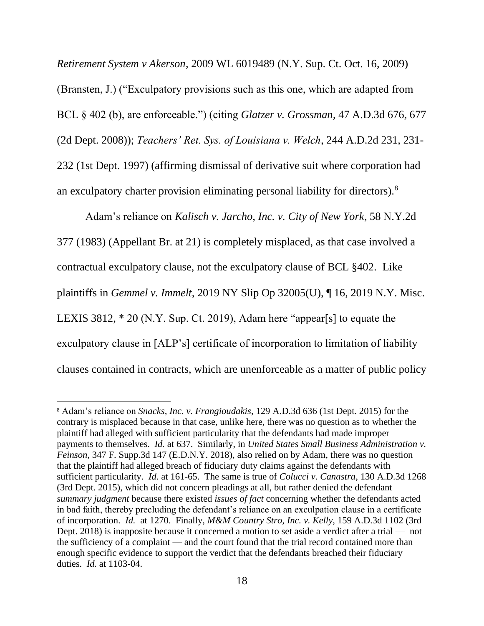<span id="page-28-6"></span><span id="page-28-2"></span>*Retirement System v Akerson*, 2009 WL 6019489 (N.Y. Sup. Ct. Oct. 16, 2009) (Bransten, J.) ("Exculpatory provisions such as this one, which are adapted from BCL § 402 (b), are enforceable.") (citing *Glatzer v. Grossman*, 47 A.D.3d 676, 677 (2d Dept. 2008)); *Teachers' Ret. Sys. of Louisiana v. Welch*, 244 A.D.2d 231, 231- 232 (1st Dept. 1997) (affirming dismissal of derivative suit where corporation had an exculpatory charter provision eliminating personal liability for directors).<sup>8</sup>

<span id="page-28-3"></span><span id="page-28-1"></span>Adam's reliance on *Kalisch v. Jarcho, Inc. v. City of New York*, 58 N.Y.2d 377 (1983) (Appellant Br. at 21) is completely misplaced, as that case involved a contractual exculpatory clause, not the exculpatory clause of BCL §402. Like plaintiffs in *Gemmel v. Immelt*, 2019 NY Slip Op 32005(U), ¶ 16, 2019 N.Y. Misc. LEXIS 3812, \* 20 (N.Y. Sup. Ct. 2019), Adam here "appear[s] to equate the exculpatory clause in [ALP's] certificate of incorporation to limitation of liability clauses contained in contracts, which are unenforceable as a matter of public policy

<span id="page-28-7"></span><span id="page-28-5"></span><span id="page-28-4"></span><span id="page-28-0"></span><sup>8</sup> Adam's reliance on *Snacks, Inc. v. Frangioudakis*, 129 A.D.3d 636 (1st Dept. 2015) for the contrary is misplaced because in that case, unlike here, there was no question as to whether the plaintiff had alleged with sufficient particularity that the defendants had made improper payments to themselves. *Id.* at 637. Similarly, in *United States Small Business Administration v. Feinson*, 347 F. Supp.3d 147 (E.D.N.Y. 2018), also relied on by Adam, there was no question that the plaintiff had alleged breach of fiduciary duty claims against the defendants with sufficient particularity. *Id.* at 161-65. The same is true of *Colucci v. Canastra*, 130 A.D.3d 1268 (3rd Dept. 2015), which did not concern pleadings at all, but rather denied the defendant *summary judgment* because there existed *issues of fact* concerning whether the defendants acted in bad faith, thereby precluding the defendant's reliance on an exculpation clause in a certificate of incorporation. *Id.* at 1270. Finally, *M&M Country Stro, Inc. v. Kelly*, 159 A.D.3d 1102 (3rd Dept. 2018) is inapposite because it concerned a motion to set aside a verdict after a trial — not the sufficiency of a complaint — and the court found that the trial record contained more than enough specific evidence to support the verdict that the defendants breached their fiduciary duties. *Id.* at 1103-04.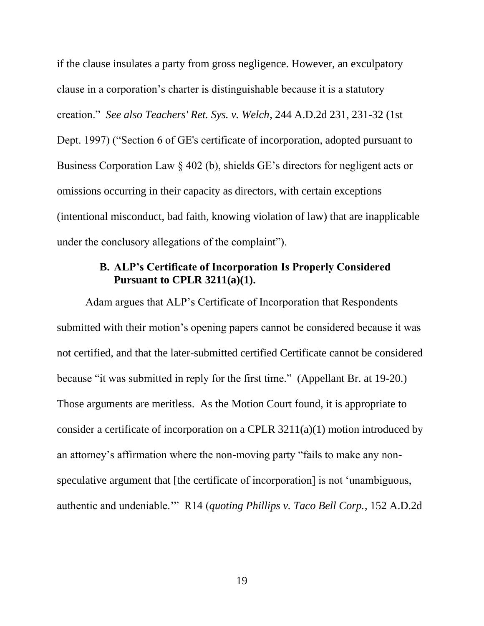<span id="page-29-2"></span>if the clause insulates a party from gross negligence. However, an exculpatory clause in a corporation's charter is distinguishable because it is a statutory creation." *See also Teachers' Ret. Sys. v. Welch*, 244 A.D.2d 231, 231-32 (1st Dept. 1997) ("Section 6 of GE's certificate of incorporation, adopted pursuant to Business Corporation Law § 402 (b), shields GE's directors for negligent acts or omissions occurring in their capacity as directors, with certain exceptions (intentional misconduct, bad faith, knowing violation of law) that are inapplicable under the conclusory allegations of the complaint").

#### <span id="page-29-3"></span>**B. ALP's Certificate of Incorporation Is Properly Considered Pursuant to CPLR 3211(a)(1).**

<span id="page-29-1"></span><span id="page-29-0"></span>Adam argues that ALP's Certificate of Incorporation that Respondents submitted with their motion's opening papers cannot be considered because it was not certified, and that the later-submitted certified Certificate cannot be considered because "it was submitted in reply for the first time." (Appellant Br. at 19-20.) Those arguments are meritless. As the Motion Court found, it is appropriate to consider a certificate of incorporation on a CPLR 3211(a)(1) motion introduced by an attorney's affirmation where the non-moving party "fails to make any nonspeculative argument that [the certificate of incorporation] is not 'unambiguous, authentic and undeniable.'" R14 (*quoting Phillips v. Taco Bell Corp.*, 152 A.D.2d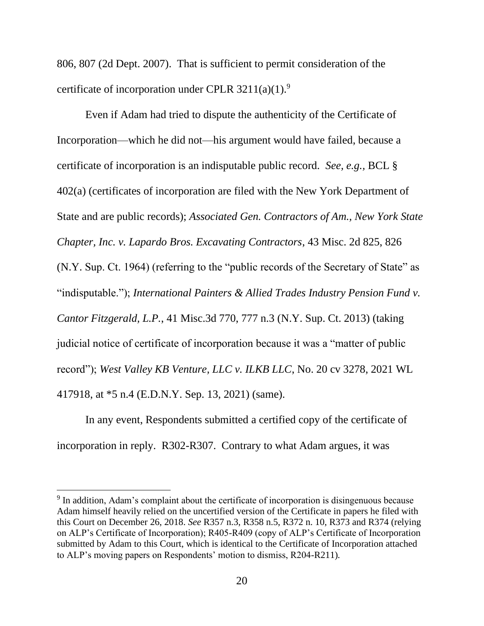<span id="page-30-3"></span>806, 807 (2d Dept. 2007). That is sufficient to permit consideration of the certificate of incorporation under CPLR  $3211(a)(1)$ .<sup>9</sup>

<span id="page-30-0"></span>Even if Adam had tried to dispute the authenticity of the Certificate of Incorporation—which he did not—his argument would have failed, because a certificate of incorporation is an indisputable public record. *See, e.g.,* BCL § 402(a) (certificates of incorporation are filed with the New York Department of State and are public records); *Associated Gen. Contractors of Am., New York State Chapter, Inc. v. Lapardo Bros. Excavating Contractors*, 43 Misc. 2d 825, 826 (N.Y. Sup. Ct. 1964) (referring to the "public records of the Secretary of State" as "indisputable."); *International Painters & Allied Trades Industry Pension Fund v. Cantor Fitzgerald, L.P.*, 41 Misc.3d 770, 777 n.3 (N.Y. Sup. Ct. 2013) (taking judicial notice of certificate of incorporation because it was a "matter of public record"); *West Valley KB Venture, LLC v. ILKB LLC*, No. 20 cv 3278, 2021 WL 417918, at \*5 n.4 (E.D.N.Y. Sep. 13, 2021) (same).

<span id="page-30-2"></span><span id="page-30-1"></span>In any event, Respondents submitted a certified copy of the certificate of incorporation in reply. R302-R307. Contrary to what Adam argues, it was

 $9$  In addition, Adam's complaint about the certificate of incorporation is disingenuous because Adam himself heavily relied on the uncertified version of the Certificate in papers he filed with this Court on December 26, 2018. *See* R357 n.3, R358 n.5, R372 n. 10, R373 and R374 (relying on ALP's Certificate of Incorporation); R405-R409 (copy of ALP's Certificate of Incorporation submitted by Adam to this Court, which is identical to the Certificate of Incorporation attached to ALP's moving papers on Respondents' motion to dismiss, R204-R211)*.*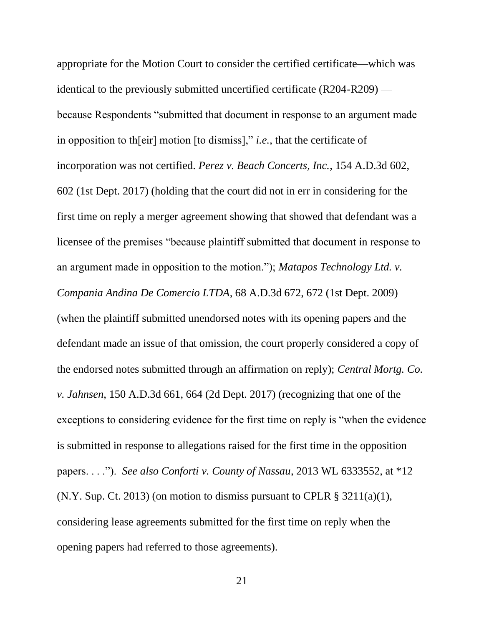<span id="page-31-4"></span><span id="page-31-3"></span><span id="page-31-2"></span><span id="page-31-1"></span><span id="page-31-0"></span>appropriate for the Motion Court to consider the certified certificate—which was identical to the previously submitted uncertified certificate (R204-R209) because Respondents "submitted that document in response to an argument made in opposition to th[eir] motion [to dismiss]," *i.e.*, that the certificate of incorporation was not certified. *Perez v. Beach Concerts, Inc.*, 154 A.D.3d 602, 602 (1st Dept. 2017) (holding that the court did not in err in considering for the first time on reply a merger agreement showing that showed that defendant was a licensee of the premises "because plaintiff submitted that document in response to an argument made in opposition to the motion."); *Matapos Technology Ltd. v. Compania Andina De Comercio LTDA*, 68 A.D.3d 672, 672 (1st Dept. 2009) (when the plaintiff submitted unendorsed notes with its opening papers and the defendant made an issue of that omission, the court properly considered a copy of the endorsed notes submitted through an affirmation on reply); *Central Mortg. Co. v. Jahnsen*, 150 A.D.3d 661, 664 (2d Dept. 2017) (recognizing that one of the exceptions to considering evidence for the first time on reply is "when the evidence is submitted in response to allegations raised for the first time in the opposition papers. . . ."). *See also Conforti v. County of Nassau*, 2013 WL 6333552, at \*12 (N.Y. Sup. Ct. 2013) (on motion to dismiss pursuant to CPLR  $\S$  3211(a)(1), considering lease agreements submitted for the first time on reply when the opening papers had referred to those agreements).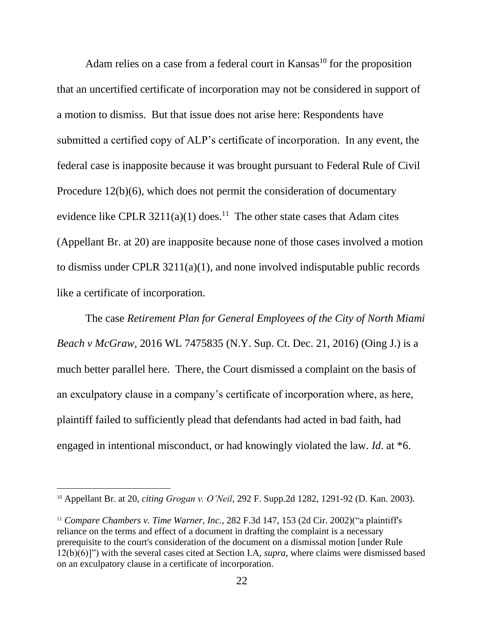<span id="page-32-5"></span>Adam relies on a case from a federal court in Kansas<sup>10</sup> for the proposition that an uncertified certificate of incorporation may not be considered in support of a motion to dismiss. But that issue does not arise here: Respondents have submitted a certified copy of ALP's certificate of incorporation. In any event, the federal case is inapposite because it was brought pursuant to Federal Rule of Civil Procedure 12(b)(6), which does not permit the consideration of documentary evidence like CPLR  $3211(a)(1)$  does.<sup>11</sup> The other state cases that Adam cites (Appellant Br. at 20) are inapposite because none of those cases involved a motion to dismiss under CPLR 3211(a)(1), and none involved indisputable public records like a certificate of incorporation.

<span id="page-32-4"></span><span id="page-32-2"></span>The case *Retirement Plan for General Employees of the City of North Miami Beach v McGraw*, 2016 WL 7475835 (N.Y. Sup. Ct. Dec. 21, 2016) (Oing J.) is a much better parallel here. There, the Court dismissed a complaint on the basis of an exculpatory clause in a company's certificate of incorporation where, as here, plaintiff failed to sufficiently plead that defendants had acted in bad faith, had engaged in intentional misconduct, or had knowingly violated the law. *Id*. at \*6.

<span id="page-32-3"></span><span id="page-32-1"></span><sup>10</sup> Appellant Br. at 20, *citing Grogan v. O'Neil*, 292 F. Supp.2d 1282, 1291-92 (D. Kan. 2003).

<span id="page-32-0"></span><sup>&</sup>lt;sup>11</sup> Compare Chambers v. Time Warner, Inc., 282 F.3d 147, 153 (2d Cir. 2002)("a plaintiff's reliance on the terms and effect of a document in drafting the complaint is a necessary prerequisite to the court's consideration of the document on a dismissal motion [under Rule 12(b)(6)]") with the several cases cited at Section I.A, *supra*, where claims were dismissed based on an exculpatory clause in a certificate of incorporation.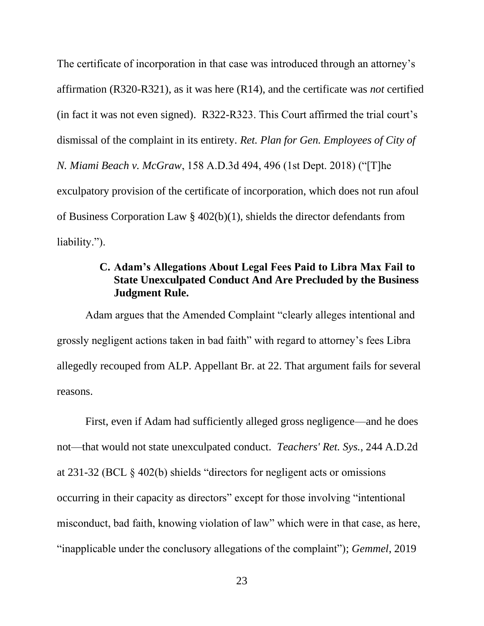The certificate of incorporation in that case was introduced through an attorney's affirmation (R320-R321), as it was here (R14), and the certificate was *not* certified (in fact it was not even signed). R322-R323. This Court affirmed the trial court's dismissal of the complaint in its entirety. *Ret. Plan for Gen. Employees of City of N. Miami Beach v. McGraw*, 158 A.D.3d 494, 496 (1st Dept. 2018) ("[T]he exculpatory provision of the certificate of incorporation, which does not run afoul of Business Corporation Law § 402(b)(1), shields the director defendants from liability.").

#### <span id="page-33-0"></span>**C. Adam's Allegations About Legal Fees Paid to Libra Max Fail to State Unexculpated Conduct And Are Precluded by the Business Judgment Rule.**

Adam argues that the Amended Complaint "clearly alleges intentional and grossly negligent actions taken in bad faith" with regard to attorney's fees Libra allegedly recouped from ALP. Appellant Br. at 22. That argument fails for several reasons.

<span id="page-33-1"></span>First, even if Adam had sufficiently alleged gross negligence—and he does not—that would not state unexculpated conduct. *Teachers' Ret. Sys.*, 244 A.D.2d at 231-32 (BCL § 402(b) shields "directors for negligent acts or omissions occurring in their capacity as directors" except for those involving "intentional misconduct, bad faith, knowing violation of law" which were in that case, as here, "inapplicable under the conclusory allegations of the complaint"); *Gemmel*, 2019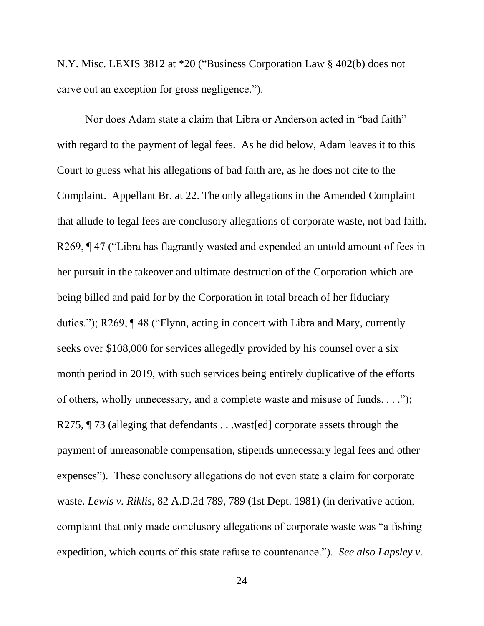N.Y. Misc. LEXIS 3812 at \*20 ("Business Corporation Law § 402(b) does not carve out an exception for gross negligence.").

<span id="page-34-1"></span><span id="page-34-0"></span>Nor does Adam state a claim that Libra or Anderson acted in "bad faith" with regard to the payment of legal fees. As he did below, Adam leaves it to this Court to guess what his allegations of bad faith are, as he does not cite to the Complaint. Appellant Br. at 22. The only allegations in the Amended Complaint that allude to legal fees are conclusory allegations of corporate waste, not bad faith. R269, ¶ 47 ("Libra has flagrantly wasted and expended an untold amount of fees in her pursuit in the takeover and ultimate destruction of the Corporation which are being billed and paid for by the Corporation in total breach of her fiduciary duties."); R269, ¶ 48 ("Flynn, acting in concert with Libra and Mary, currently seeks over \$108,000 for services allegedly provided by his counsel over a six month period in 2019, with such services being entirely duplicative of the efforts of others, wholly unnecessary, and a complete waste and misuse of funds. . . ."); R275,  $\P$  73 (alleging that defendants . . .wast [ed] corporate assets through the payment of unreasonable compensation, stipends unnecessary legal fees and other expenses"). These conclusory allegations do not even state a claim for corporate waste. *Lewis v. Riklis*, 82 A.D.2d 789, 789 (1st Dept. 1981) (in derivative action, complaint that only made conclusory allegations of corporate waste was "a fishing expedition, which courts of this state refuse to countenance."). *See also Lapsley v.*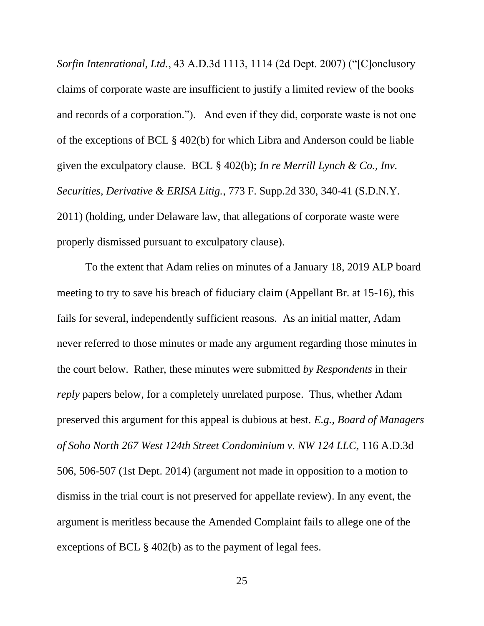<span id="page-35-1"></span>*Sorfin Intenrational, Ltd.*, 43 A.D.3d 1113, 1114 (2d Dept. 2007) ("[C]onclusory claims of corporate waste are insufficient to justify a limited review of the books and records of a corporation."). And even if they did, corporate waste is not one of the exceptions of BCL § 402(b) for which Libra and Anderson could be liable given the exculpatory clause. BCL § 402(b); *In re Merrill Lynch & Co., Inv. Securities, Derivative & ERISA Litig.*, 773 F. Supp.2d 330, 340-41 (S.D.N.Y. 2011) (holding, under Delaware law, that allegations of corporate waste were properly dismissed pursuant to exculpatory clause).

<span id="page-35-0"></span>To the extent that Adam relies on minutes of a January 18, 2019 ALP board meeting to try to save his breach of fiduciary claim (Appellant Br. at 15-16), this fails for several, independently sufficient reasons. As an initial matter, Adam never referred to those minutes or made any argument regarding those minutes in the court below. Rather, these minutes were submitted *by Respondents* in their *reply* papers below, for a completely unrelated purpose. Thus, whether Adam preserved this argument for this appeal is dubious at best. *E.g., Board of Managers of Soho North 267 West 124th Street Condominium v. NW 124 LLC*, 116 A.D.3d 506, 506-507 (1st Dept. 2014) (argument not made in opposition to a motion to dismiss in the trial court is not preserved for appellate review). In any event, the argument is meritless because the Amended Complaint fails to allege one of the exceptions of BCL § 402(b) as to the payment of legal fees.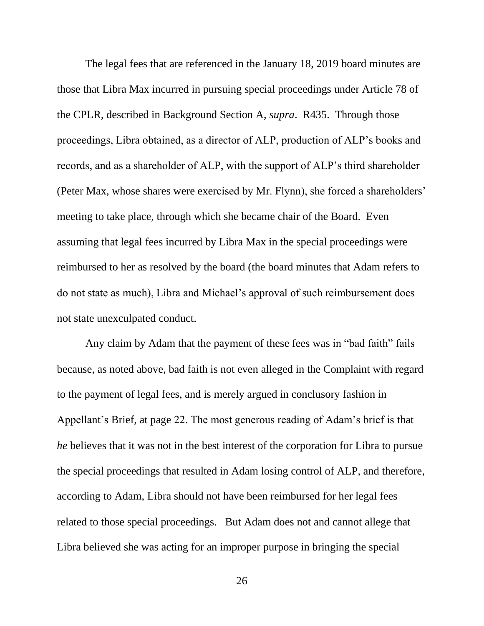The legal fees that are referenced in the January 18, 2019 board minutes are those that Libra Max incurred in pursuing special proceedings under Article 78 of the CPLR, described in Background Section A, *supra*. R435. Through those proceedings, Libra obtained, as a director of ALP, production of ALP's books and records, and as a shareholder of ALP, with the support of ALP's third shareholder (Peter Max, whose shares were exercised by Mr. Flynn), she forced a shareholders' meeting to take place, through which she became chair of the Board. Even assuming that legal fees incurred by Libra Max in the special proceedings were reimbursed to her as resolved by the board (the board minutes that Adam refers to do not state as much), Libra and Michael's approval of such reimbursement does not state unexculpated conduct.

Any claim by Adam that the payment of these fees was in "bad faith" fails because, as noted above, bad faith is not even alleged in the Complaint with regard to the payment of legal fees, and is merely argued in conclusory fashion in Appellant's Brief, at page 22. The most generous reading of Adam's brief is that *he* believes that it was not in the best interest of the corporation for Libra to pursue the special proceedings that resulted in Adam losing control of ALP, and therefore, according to Adam, Libra should not have been reimbursed for her legal fees related to those special proceedings. But Adam does not and cannot allege that Libra believed she was acting for an improper purpose in bringing the special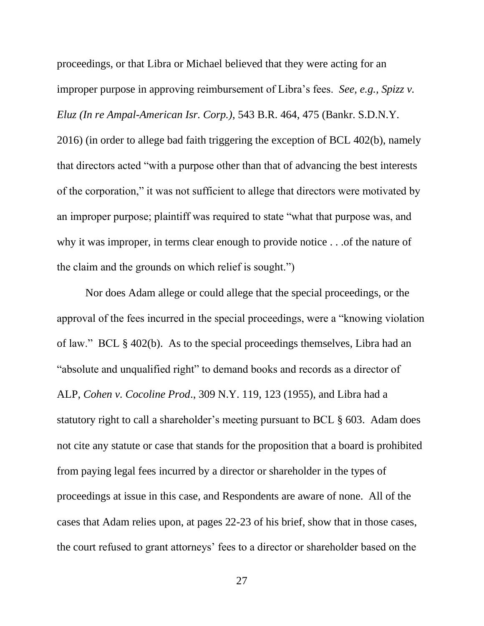<span id="page-37-1"></span>proceedings, or that Libra or Michael believed that they were acting for an improper purpose in approving reimbursement of Libra's fees. *See, e.g., Spizz v. Eluz (In re Ampal-American Isr. Corp.)*, 543 B.R. 464, 475 (Bankr. S.D.N.Y. 2016) (in order to allege bad faith triggering the exception of BCL 402(b), namely that directors acted "with a purpose other than that of advancing the best interests of the corporation," it was not sufficient to allege that directors were motivated by an improper purpose; plaintiff was required to state "what that purpose was, and why it was improper, in terms clear enough to provide notice . . .of the nature of the claim and the grounds on which relief is sought.")

<span id="page-37-2"></span><span id="page-37-0"></span>Nor does Adam allege or could allege that the special proceedings, or the approval of the fees incurred in the special proceedings, were a "knowing violation of law." BCL § 402(b). As to the special proceedings themselves, Libra had an "absolute and unqualified right" to demand books and records as a director of ALP, *Cohen v. Cocoline Prod*., 309 N.Y. 119, 123 (1955), and Libra had a statutory right to call a shareholder's meeting pursuant to BCL § 603. Adam does not cite any statute or case that stands for the proposition that a board is prohibited from paying legal fees incurred by a director or shareholder in the types of proceedings at issue in this case, and Respondents are aware of none. All of the cases that Adam relies upon, at pages 22-23 of his brief, show that in those cases, the court refused to grant attorneys' fees to a director or shareholder based on the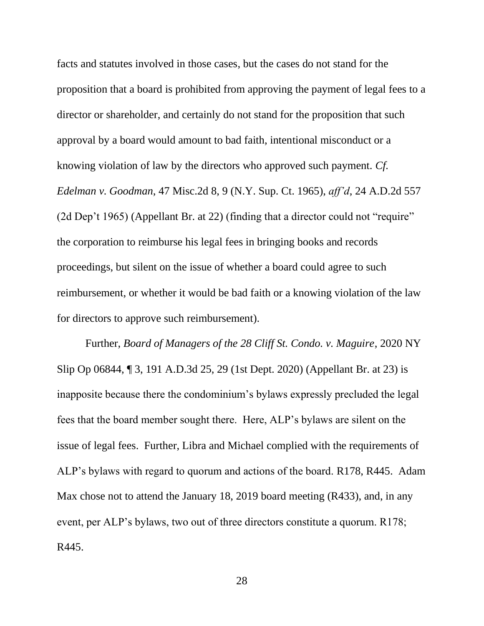<span id="page-38-1"></span>facts and statutes involved in those cases, but the cases do not stand for the proposition that a board is prohibited from approving the payment of legal fees to a director or shareholder, and certainly do not stand for the proposition that such approval by a board would amount to bad faith, intentional misconduct or a knowing violation of law by the directors who approved such payment. *Cf. Edelman v. Goodman*, 47 Misc.2d 8, 9 (N.Y. Sup. Ct. 1965), *aff'd*, 24 A.D.2d 557 (2d Dep't 1965) (Appellant Br. at 22) (finding that a director could not "require" the corporation to reimburse his legal fees in bringing books and records proceedings, but silent on the issue of whether a board could agree to such reimbursement, or whether it would be bad faith or a knowing violation of the law for directors to approve such reimbursement).

<span id="page-38-0"></span>Further, *Board of Managers of the 28 Cliff St. Condo. v. Maguire*, 2020 NY Slip Op 06844, ¶ 3, 191 A.D.3d 25, 29 (1st Dept. 2020) (Appellant Br. at 23) is inapposite because there the condominium's bylaws expressly precluded the legal fees that the board member sought there. Here, ALP's bylaws are silent on the issue of legal fees. Further, Libra and Michael complied with the requirements of ALP's bylaws with regard to quorum and actions of the board. R178, R445. Adam Max chose not to attend the January 18, 2019 board meeting (R433), and, in any event, per ALP's bylaws, two out of three directors constitute a quorum. R178; R445.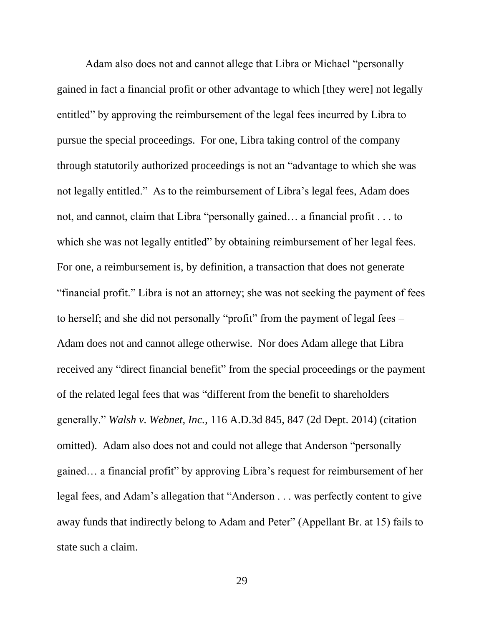Adam also does not and cannot allege that Libra or Michael "personally gained in fact a financial profit or other advantage to which [they were] not legally entitled" by approving the reimbursement of the legal fees incurred by Libra to pursue the special proceedings. For one, Libra taking control of the company through statutorily authorized proceedings is not an "advantage to which she was not legally entitled." As to the reimbursement of Libra's legal fees, Adam does not, and cannot, claim that Libra "personally gained… a financial profit . . . to which she was not legally entitled" by obtaining reimbursement of her legal fees. For one, a reimbursement is, by definition, a transaction that does not generate "financial profit." Libra is not an attorney; she was not seeking the payment of fees to herself; and she did not personally "profit" from the payment of legal fees – Adam does not and cannot allege otherwise. Nor does Adam allege that Libra received any "direct financial benefit" from the special proceedings or the payment of the related legal fees that was "different from the benefit to shareholders generally." *Walsh v. Webnet, Inc.*, 116 A.D.3d 845, 847 (2d Dept. 2014) (citation omitted). Adam also does not and could not allege that Anderson "personally gained… a financial profit" by approving Libra's request for reimbursement of her legal fees, and Adam's allegation that "Anderson . . . was perfectly content to give away funds that indirectly belong to Adam and Peter" (Appellant Br. at 15) fails to state such a claim.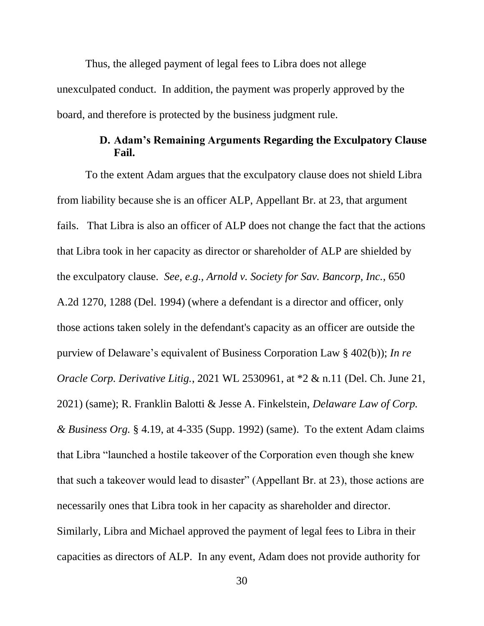Thus, the alleged payment of legal fees to Libra does not allege unexculpated conduct. In addition, the payment was properly approved by the board, and therefore is protected by the business judgment rule.

### <span id="page-40-2"></span><span id="page-40-1"></span>**D. Adam's Remaining Arguments Regarding the Exculpatory Clause Fail.**

<span id="page-40-3"></span><span id="page-40-0"></span>To the extent Adam argues that the exculpatory clause does not shield Libra from liability because she is an officer ALP, Appellant Br. at 23, that argument fails. That Libra is also an officer of ALP does not change the fact that the actions that Libra took in her capacity as director or shareholder of ALP are shielded by the exculpatory clause. *See, e.g., Arnold v. Society for Sav. Bancorp, Inc.*, 650 A.2d 1270, 1288 (Del. 1994) (where a defendant is a director and officer, only those actions taken solely in the defendant's capacity as an officer are outside the purview of Delaware's equivalent of Business Corporation Law § 402(b)); *In re Oracle Corp. Derivative Litig.*, 2021 WL 2530961, at \*2 & n.11 (Del. Ch. June 21, 2021) (same); R. Franklin Balotti & Jesse A. Finkelstein, *Delaware Law of Corp. & Business Org.* § 4.19, at 4-335 (Supp. 1992) (same). To the extent Adam claims that Libra "launched a hostile takeover of the Corporation even though she knew that such a takeover would lead to disaster" (Appellant Br. at 23), those actions are necessarily ones that Libra took in her capacity as shareholder and director. Similarly, Libra and Michael approved the payment of legal fees to Libra in their capacities as directors of ALP. In any event, Adam does not provide authority for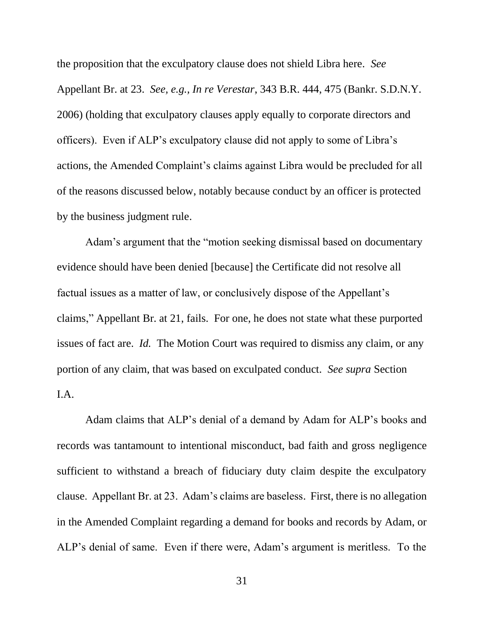<span id="page-41-0"></span>the proposition that the exculpatory clause does not shield Libra here. *See* Appellant Br. at 23. *See, e.g., In re Verestar*, 343 B.R. 444, 475 (Bankr. S.D.N.Y. 2006) (holding that exculpatory clauses apply equally to corporate directors and officers). Even if ALP's exculpatory clause did not apply to some of Libra's actions, the Amended Complaint's claims against Libra would be precluded for all of the reasons discussed below, notably because conduct by an officer is protected by the business judgment rule.

Adam's argument that the "motion seeking dismissal based on documentary evidence should have been denied [because] the Certificate did not resolve all factual issues as a matter of law, or conclusively dispose of the Appellant's claims," Appellant Br. at 21, fails. For one, he does not state what these purported issues of fact are. *Id.* The Motion Court was required to dismiss any claim, or any portion of any claim, that was based on exculpated conduct. *See supra* Section I.A.

Adam claims that ALP's denial of a demand by Adam for ALP's books and records was tantamount to intentional misconduct, bad faith and gross negligence sufficient to withstand a breach of fiduciary duty claim despite the exculpatory clause. Appellant Br. at 23. Adam's claims are baseless. First, there is no allegation in the Amended Complaint regarding a demand for books and records by Adam, or ALP's denial of same. Even if there were, Adam's argument is meritless. To the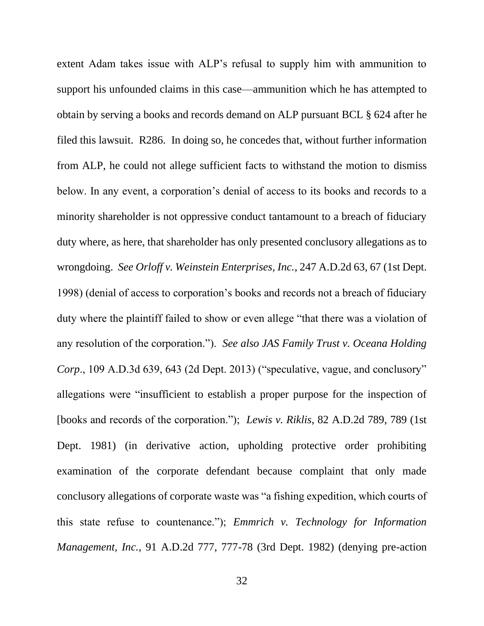<span id="page-42-4"></span><span id="page-42-3"></span><span id="page-42-2"></span><span id="page-42-1"></span><span id="page-42-0"></span>extent Adam takes issue with ALP's refusal to supply him with ammunition to support his unfounded claims in this case—ammunition which he has attempted to obtain by serving a books and records demand on ALP pursuant BCL § 624 after he filed this lawsuit. R286. In doing so, he concedes that, without further information from ALP, he could not allege sufficient facts to withstand the motion to dismiss below. In any event, a corporation's denial of access to its books and records to a minority shareholder is not oppressive conduct tantamount to a breach of fiduciary duty where, as here, that shareholder has only presented conclusory allegations as to wrongdoing. *See Orloff v. Weinstein Enterprises, Inc.*, 247 A.D.2d 63, 67 (1st Dept. 1998) (denial of access to corporation's books and records not a breach of fiduciary duty where the plaintiff failed to show or even allege "that there was a violation of any resolution of the corporation."). *See also JAS Family Trust v. Oceana Holding Corp*., 109 A.D.3d 639, 643 (2d Dept. 2013) ("speculative, vague, and conclusory" allegations were "insufficient to establish a proper purpose for the inspection of [books and records of the corporation."); *Lewis v. Riklis*, 82 A.D.2d 789, 789 (1st Dept. 1981) (in derivative action, upholding protective order prohibiting examination of the corporate defendant because complaint that only made conclusory allegations of corporate waste was "a fishing expedition, which courts of this state refuse to countenance."); *Emmrich v. Technology for Information Management, Inc.*, 91 A.D.2d 777, 777-78 (3rd Dept. 1982) (denying pre-action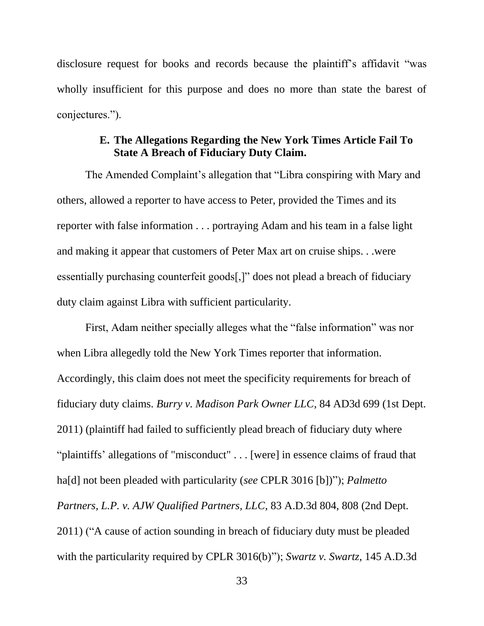disclosure request for books and records because the plaintiff's affidavit "was wholly insufficient for this purpose and does no more than state the barest of conjectures.").

## **E. The Allegations Regarding the New York Times Article Fail To State A Breach of Fiduciary Duty Claim.**

<span id="page-43-0"></span>The Amended Complaint's allegation that "Libra conspiring with Mary and others, allowed a reporter to have access to Peter, provided the Times and its reporter with false information . . . portraying Adam and his team in a false light and making it appear that customers of Peter Max art on cruise ships. . .were essentially purchasing counterfeit goods[,]" does not plead a breach of fiduciary duty claim against Libra with sufficient particularity.

<span id="page-43-3"></span><span id="page-43-2"></span><span id="page-43-1"></span>First, Adam neither specially alleges what the "false information" was nor when Libra allegedly told the New York Times reporter that information. Accordingly, this claim does not meet the specificity requirements for breach of fiduciary duty claims. *Burry v. Madison Park Owner LLC*, 84 AD3d 699 (1st Dept. 2011) (plaintiff had failed to sufficiently plead breach of fiduciary duty where "plaintiffs' allegations of "misconduct" . . . [were] in essence claims of fraud that ha[d] not been pleaded with particularity (*see* CPLR 3016 [b])"); *Palmetto Partners, L.P. v. AJW Qualified Partners, LLC*, 83 A.D.3d 804, 808 (2nd Dept. 2011) ("A cause of action sounding in breach of fiduciary duty must be pleaded with the particularity required by CPLR 3016(b)"); *Swartz v. Swartz*, 145 A.D.3d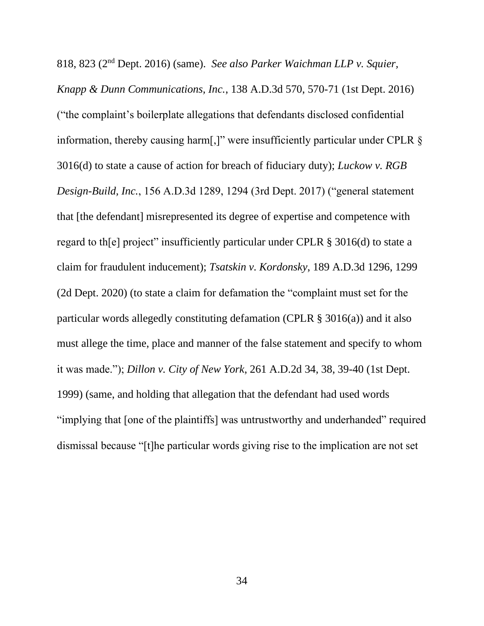<span id="page-44-3"></span><span id="page-44-2"></span><span id="page-44-1"></span><span id="page-44-0"></span>818, 823 (2nd Dept. 2016) (same). *See also Parker Waichman LLP v. Squier, Knapp & Dunn Communications, Inc.*, 138 A.D.3d 570, 570-71 (1st Dept. 2016) ("the complaint's boilerplate allegations that defendants disclosed confidential information, thereby causing harm[,]" were insufficiently particular under CPLR § 3016(d) to state a cause of action for breach of fiduciary duty); *Luckow v. RGB Design-Build, Inc.*, 156 A.D.3d 1289, 1294 (3rd Dept. 2017) ("general statement that [the defendant] misrepresented its degree of expertise and competence with regard to th[e] project" insufficiently particular under CPLR § 3016(d) to state a claim for fraudulent inducement); *Tsatskin v. Kordonsky*, 189 A.D.3d 1296, 1299 (2d Dept. 2020) (to state a claim for defamation the "complaint must set for the particular words allegedly constituting defamation (CPLR § 3016(a)) and it also must allege the time, place and manner of the false statement and specify to whom it was made."); *Dillon v. City of New York*, 261 A.D.2d 34, 38, 39-40 (1st Dept. 1999) (same, and holding that allegation that the defendant had used words "implying that [one of the plaintiffs] was untrustworthy and underhanded" required dismissal because "[t]he particular words giving rise to the implication are not set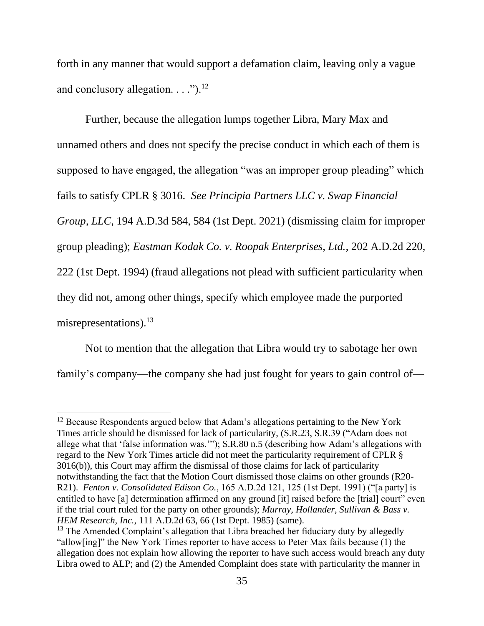forth in any manner that would support a defamation claim, leaving only a vague and conclusory allegation.  $\ldots$ .").<sup>12</sup>

<span id="page-45-3"></span>Further, because the allegation lumps together Libra, Mary Max and unnamed others and does not specify the precise conduct in which each of them is supposed to have engaged, the allegation "was an improper group pleading" which fails to satisfy CPLR § 3016. *See Principia Partners LLC v. Swap Financial Group, LLC*, 194 A.D.3d 584, 584 (1st Dept. 2021) (dismissing claim for improper group pleading); *Eastman Kodak Co. v. Roopak Enterprises, Ltd.*, 202 A.D.2d 220, 222 (1st Dept. 1994) (fraud allegations not plead with sufficient particularity when they did not, among other things, specify which employee made the purported misrepresentations).<sup>13</sup>

<span id="page-45-0"></span>Not to mention that the allegation that Libra would try to sabotage her own family's company—the company she had just fought for years to gain control of—

<sup>&</sup>lt;sup>12</sup> Because Respondents argued below that Adam's allegations pertaining to the New York Times article should be dismissed for lack of particularity, (S.R.23, S.R.39 ("Adam does not allege what that 'false information was.'"); S.R.80 n.5 (describing how Adam's allegations with regard to the New York Times article did not meet the particularity requirement of CPLR § 3016(b)), this Court may affirm the dismissal of those claims for lack of particularity notwithstanding the fact that the Motion Court dismissed those claims on other grounds (R20- R21). *Fenton v. Consolidated Edison Co.*, 165 A.D.2d 121, 125 (1st Dept. 1991) ("[a party] is entitled to have [a] determination affirmed on any ground [it] raised before the [trial] court" even if the trial court ruled for the party on other grounds); *Murray, Hollander, Sullivan & Bass v. HEM Research, Inc.*, 111 A.D.2d 63, 66 (1st Dept. 1985) (same).

<span id="page-45-2"></span><span id="page-45-1"></span> $13$  The Amended Complaint's allegation that Libra breached her fiduciary duty by allegedly "allow[ing]" the New York Times reporter to have access to Peter Max fails because (1) the allegation does not explain how allowing the reporter to have such access would breach any duty Libra owed to ALP; and (2) the Amended Complaint does state with particularity the manner in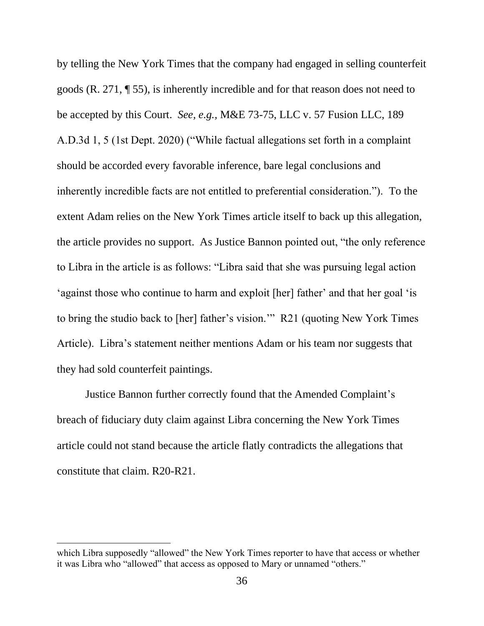<span id="page-46-0"></span>by telling the New York Times that the company had engaged in selling counterfeit goods (R. 271, ¶ 55), is inherently incredible and for that reason does not need to be accepted by this Court. *See, e.g.,* M&E 73-75, LLC v. 57 Fusion LLC, 189 A.D.3d 1, 5 (1st Dept. 2020) ("While factual allegations set forth in a complaint should be accorded every favorable inference, bare legal conclusions and inherently incredible facts are not entitled to preferential consideration."). To the extent Adam relies on the New York Times article itself to back up this allegation, the article provides no support. As Justice Bannon pointed out, "the only reference to Libra in the article is as follows: "Libra said that she was pursuing legal action 'against those who continue to harm and exploit [her] father' and that her goal 'is to bring the studio back to [her] father's vision.'" R21 (quoting New York Times Article). Libra's statement neither mentions Adam or his team nor suggests that they had sold counterfeit paintings.

Justice Bannon further correctly found that the Amended Complaint's breach of fiduciary duty claim against Libra concerning the New York Times article could not stand because the article flatly contradicts the allegations that constitute that claim. R20-R21.

which Libra supposedly "allowed" the New York Times reporter to have that access or whether it was Libra who "allowed" that access as opposed to Mary or unnamed "others."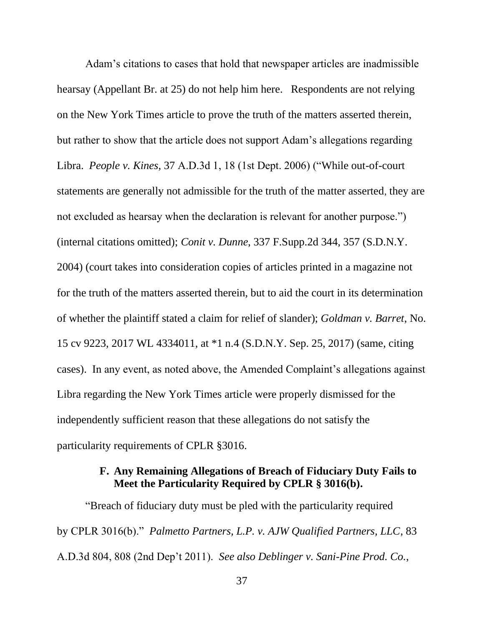<span id="page-47-5"></span><span id="page-47-1"></span>Adam's citations to cases that hold that newspaper articles are inadmissible hearsay (Appellant Br. at 25) do not help him here. Respondents are not relying on the New York Times article to prove the truth of the matters asserted therein, but rather to show that the article does not support Adam's allegations regarding Libra. *People v. Kines*, 37 A.D.3d 1, 18 (1st Dept. 2006) ("While out-of-court statements are generally not admissible for the truth of the matter asserted, they are not excluded as hearsay when the declaration is relevant for another purpose.") (internal citations omitted); *Conit v. Dunne*, 337 F.Supp.2d 344, 357 (S.D.N.Y. 2004) (court takes into consideration copies of articles printed in a magazine not for the truth of the matters asserted therein, but to aid the court in its determination of whether the plaintiff stated a claim for relief of slander); *Goldman v. Barret*, No. 15 cv 9223, 2017 WL 4334011, at \*1 n.4 (S.D.N.Y. Sep. 25, 2017) (same, citing cases). In any event, as noted above, the Amended Complaint's allegations against Libra regarding the New York Times article were properly dismissed for the independently sufficient reason that these allegations do not satisfy the particularity requirements of CPLR §3016.

### <span id="page-47-4"></span><span id="page-47-3"></span><span id="page-47-2"></span>**F. Any Remaining Allegations of Breach of Fiduciary Duty Fails to Meet the Particularity Required by CPLR § 3016(b).**

<span id="page-47-0"></span>"Breach of fiduciary duty must be pled with the particularity required by CPLR 3016(b)." *Palmetto Partners, L.P. v. AJW Qualified Partners, LLC*, 83 A.D.3d 804, 808 (2nd Dep't 2011). *See also Deblinger v. Sani-Pine Prod. Co.*,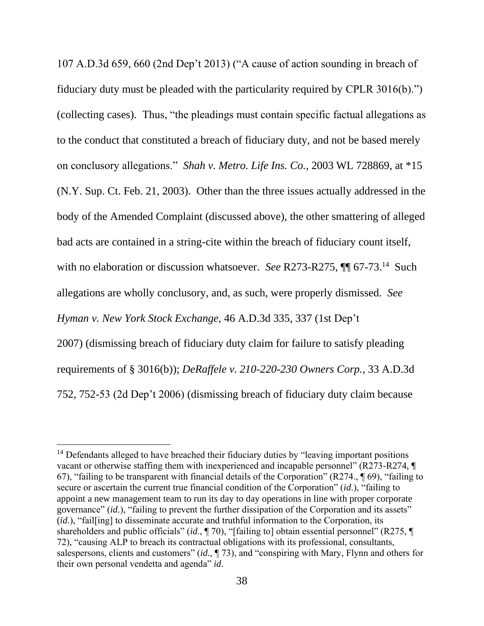<span id="page-48-2"></span>107 A.D.3d 659, 660 (2nd Dep't 2013) ("A cause of action sounding in breach of fiduciary duty must be pleaded with the particularity required by CPLR 3016(b).") (collecting cases). Thus, "the pleadings must contain specific factual allegations as to the conduct that constituted a breach of fiduciary duty, and not be based merely on conclusory allegations." *Shah v. Metro. Life Ins. Co.*, 2003 WL 728869, at \*15 (N.Y. Sup. Ct. Feb. 21, 2003). Other than the three issues actually addressed in the body of the Amended Complaint (discussed above), the other smattering of alleged bad acts are contained in a string-cite within the breach of fiduciary count itself, with no elaboration or discussion whatsoever. *See* R273-R275, **[1]** 67-73.<sup>14</sup> Such allegations are wholly conclusory, and, as such, were properly dismissed. *See Hyman v. New York Stock Exchange,* 46 A.D.3d 335, 337 (1st Dep't 2007) (dismissing breach of fiduciary duty claim for failure to satisfy pleading requirements of § 3016(b)); *DeRaffele v. 210-220-230 Owners Corp.*, 33 A.D.3d 752, 752-53 (2d Dep't 2006) (dismissing breach of fiduciary duty claim because

<span id="page-48-1"></span><span id="page-48-0"></span><sup>&</sup>lt;sup>14</sup> Defendants alleged to have breached their fiduciary duties by "leaving important positions vacant or otherwise staffing them with inexperienced and incapable personnel" (R273-R274, ¶ 67), "failing to be transparent with financial details of the Corporation" (R274., ¶ 69), "failing to secure or ascertain the current true financial condition of the Corporation" (*id*.), "failing to appoint a new management team to run its day to day operations in line with proper corporate governance" (*id*.), "failing to prevent the further dissipation of the Corporation and its assets" (*id*.), "fail[ing] to disseminate accurate and truthful information to the Corporation, its shareholders and public officials" (*id.*, ¶ 70), "[failing to] obtain essential personnel" (R275, ¶ 72), "causing ALP to breach its contractual obligations with its professional, consultants, salespersons, clients and customers" (*id.,* ¶ 73), and "conspiring with Mary, Flynn and others for their own personal vendetta and agenda" *id*.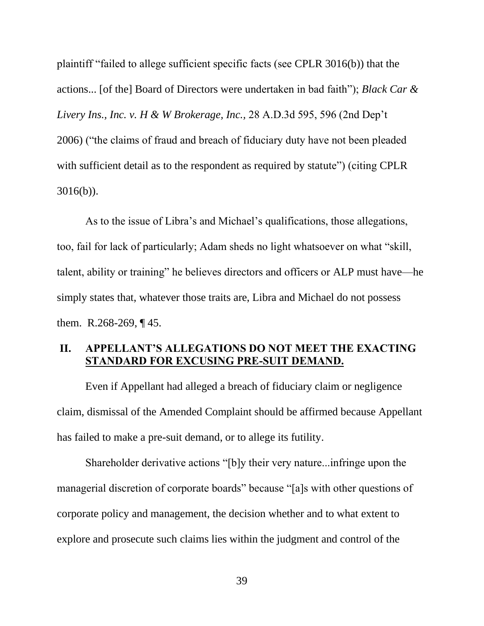<span id="page-49-1"></span>plaintiff "failed to allege sufficient specific facts (see CPLR 3016(b)) that the actions... [of the] Board of Directors were undertaken in bad faith"); *Black Car & Livery Ins., Inc. v. H & W Brokerage, Inc.,* 28 A.D.3d 595, 596 (2nd Dep't 2006) ("the claims of fraud and breach of fiduciary duty have not been pleaded with sufficient detail as to the respondent as required by statute") (citing CPLR 3016(b)).

As to the issue of Libra's and Michael's qualifications, those allegations, too, fail for lack of particularly; Adam sheds no light whatsoever on what "skill, talent, ability or training" he believes directors and officers or ALP must have—he simply states that, whatever those traits are, Libra and Michael do not possess them. R.268-269, ¶ 45.

#### <span id="page-49-0"></span>**II. APPELLANT'S ALLEGATIONS DO NOT MEET THE EXACTING STANDARD FOR EXCUSING PRE-SUIT DEMAND.**

Even if Appellant had alleged a breach of fiduciary claim or negligence claim, dismissal of the Amended Complaint should be affirmed because Appellant has failed to make a pre-suit demand, or to allege its futility.

Shareholder derivative actions "[b]y their very nature...infringe upon the managerial discretion of corporate boards" because "[a]s with other questions of corporate policy and management, the decision whether and to what extent to explore and prosecute such claims lies within the judgment and control of the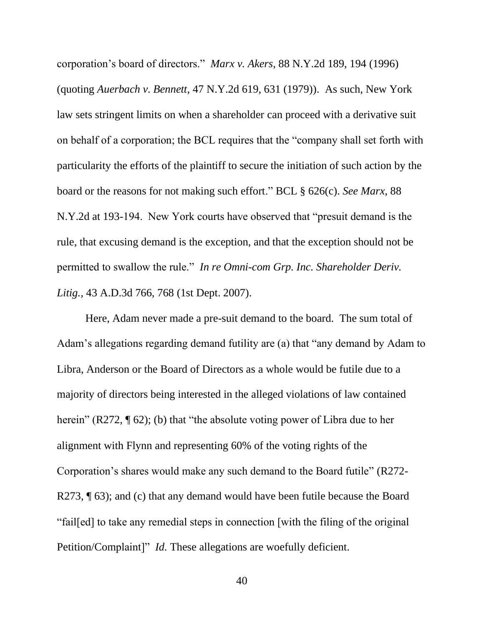<span id="page-50-2"></span><span id="page-50-1"></span>corporation's board of directors." *Marx v. Akers*, 88 N.Y.2d 189, 194 (1996) (quoting *Auerbach v. Bennett*, 47 N.Y.2d 619, 631 (1979)). As such, New York law sets stringent limits on when a shareholder can proceed with a derivative suit on behalf of a corporation; the BCL requires that the "company shall set forth with particularity the efforts of the plaintiff to secure the initiation of such action by the board or the reasons for not making such effort." BCL § 626(c). *See Marx*, 88 N.Y.2d at 193-194. New York courts have observed that "presuit demand is the rule, that excusing demand is the exception, and that the exception should not be permitted to swallow the rule." *In re Omni-com Grp. Inc. Shareholder Deriv. Litig.,* 43 A.D.3d 766, 768 (1st Dept. 2007).

<span id="page-50-0"></span>Here, Adam never made a pre-suit demand to the board. The sum total of Adam's allegations regarding demand futility are (a) that "any demand by Adam to Libra, Anderson or the Board of Directors as a whole would be futile due to a majority of directors being interested in the alleged violations of law contained herein" (R272, ¶ 62); (b) that "the absolute voting power of Libra due to her alignment with Flynn and representing 60% of the voting rights of the Corporation's shares would make any such demand to the Board futile" (R272- R273,  $\P$  63); and (c) that any demand would have been futile because the Board "fail[ed] to take any remedial steps in connection [with the filing of the original Petition/Complaint]" *Id.* These allegations are woefully deficient.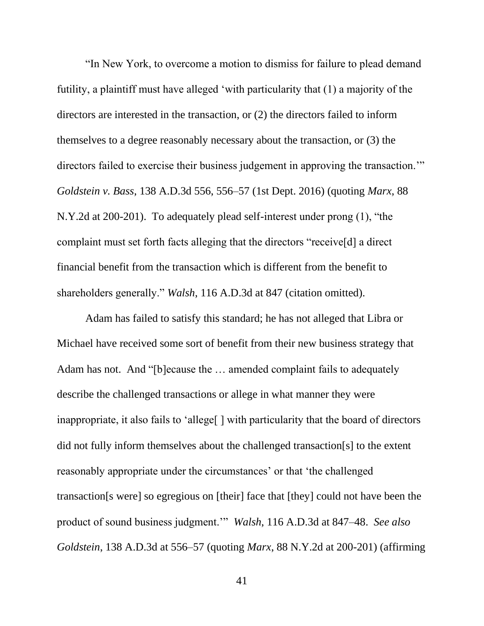<span id="page-51-2"></span><span id="page-51-0"></span>"In New York, to overcome a motion to dismiss for failure to plead demand futility, a plaintiff must have alleged 'with particularity that (1) a majority of the directors are interested in the transaction, or (2) the directors failed to inform themselves to a degree reasonably necessary about the transaction, or (3) the directors failed to exercise their business judgement in approving the transaction.'" *Goldstein v. Bass*, 138 A.D.3d 556, 556–57 (1st Dept. 2016) (quoting *Marx*, 88 N.Y.2d at 200-201). To adequately plead self-interest under prong (1), "the complaint must set forth facts alleging that the directors "receive[d] a direct financial benefit from the transaction which is different from the benefit to shareholders generally." *Walsh*, 116 A.D.3d at 847 (citation omitted).

<span id="page-51-4"></span><span id="page-51-3"></span><span id="page-51-1"></span>Adam has failed to satisfy this standard; he has not alleged that Libra or Michael have received some sort of benefit from their new business strategy that Adam has not. And "[b]ecause the … amended complaint fails to adequately describe the challenged transactions or allege in what manner they were inappropriate, it also fails to 'allege[ ] with particularity that the board of directors did not fully inform themselves about the challenged transaction[s] to the extent reasonably appropriate under the circumstances' or that 'the challenged transaction[s were] so egregious on [their] face that [they] could not have been the product of sound business judgment.'" *Walsh*, 116 A.D.3d at 847–48. *See also Goldstein*, 138 A.D.3d at 556–57 (quoting *Marx*, 88 N.Y.2d at 200-201) (affirming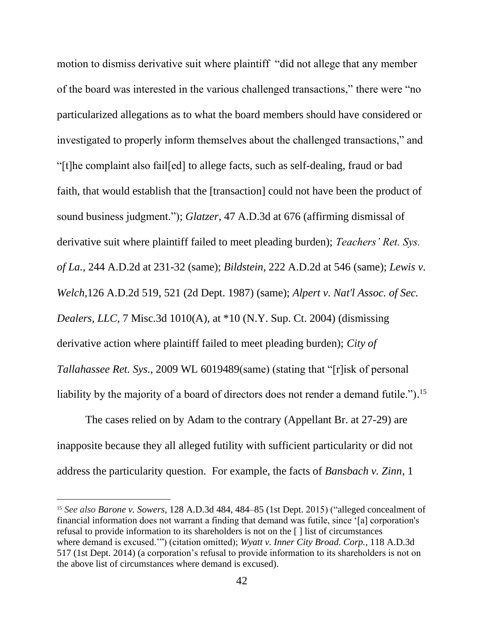<span id="page-52-5"></span><span id="page-52-3"></span>motion to dismiss derivative suit where plaintiff "did not allege that any member of the board was interested in the various challenged transactions," there were "no particularized allegations as to what the board members should have considered or investigated to properly inform themselves about the challenged transactions," and "[t]he complaint also fail[ed] to allege facts, such as self-dealing, fraud or bad faith, that would establish that the [transaction] could not have been the product of sound business judgment."); *Glatzer,* 47 A.D.3d at 676 (affirming dismissal of derivative suit where plaintiff failed to meet pleading burden); *Teachers' Ret. Sys. of La.,* 244 A.D.2d at 231-32 (same); *Bildstein*, 222 A.D.2d at 546 (same); *Lewis v. Welch,*126 A.D.2d 519, 521 (2d Dept. 1987) (same); *Alpert v. Nat'l Assoc. of Sec. Dealers, LLC,* 7 Misc.3d 1010(A), at \*10 (N.Y. Sup. Ct. 2004) (dismissing derivative action where plaintiff failed to meet pleading burden); *City of Tallahassee Ret. Sys.*, 2009 WL 6019489(same) (stating that "[r]isk of personal liability by the majority of a board of directors does not render a demand futile."). 15

<span id="page-52-4"></span><span id="page-52-0"></span>The cases relied on by Adam to the contrary (Appellant Br. at 27-29) are inapposite because they all alleged futility with sufficient particularity or did not address the particularity question. For example, the facts of *Bansbach v. Zinn*, 1

<span id="page-52-6"></span><span id="page-52-2"></span><span id="page-52-1"></span><sup>15</sup> *See also Barone v. Sowers*, 128 A.D.3d 484, 484–85 (1st Dept. 2015) ("alleged concealment of financial information does not warrant a finding that demand was futile, since '[a] corporation's refusal to provide information to its shareholders is not on the [ ] list of circumstances where demand is excused.'") (citation omitted); *Wyatt v. Inner City Broad. Corp.*, 118 A.D.3d 517 (1st Dept. 2014) (a corporation's refusal to provide information to its shareholders is not on the above list of circumstances where demand is excused).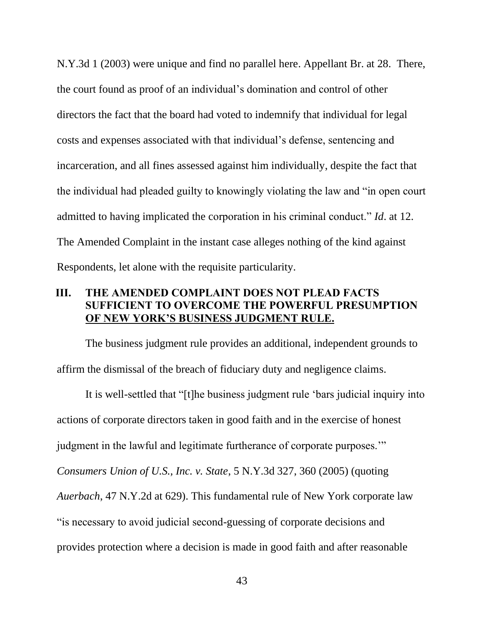N.Y.3d 1 (2003) were unique and find no parallel here. Appellant Br. at 28. There, the court found as proof of an individual's domination and control of other directors the fact that the board had voted to indemnify that individual for legal costs and expenses associated with that individual's defense, sentencing and incarceration, and all fines assessed against him individually, despite the fact that the individual had pleaded guilty to knowingly violating the law and "in open court admitted to having implicated the corporation in his criminal conduct." *Id*. at 12. The Amended Complaint in the instant case alleges nothing of the kind against Respondents, let alone with the requisite particularity.

#### <span id="page-53-0"></span>**III. THE AMENDED COMPLAINT DOES NOT PLEAD FACTS SUFFICIENT TO OVERCOME THE POWERFUL PRESUMPTION OF NEW YORK'S BUSINESS JUDGMENT RULE.**

The business judgment rule provides an additional, independent grounds to affirm the dismissal of the breach of fiduciary duty and negligence claims.

<span id="page-53-2"></span><span id="page-53-1"></span>It is well-settled that "[t]he business judgment rule 'bars judicial inquiry into actions of corporate directors taken in good faith and in the exercise of honest judgment in the lawful and legitimate furtherance of corporate purposes.'" *Consumers Union of U.S., Inc. v. State*, 5 N.Y.3d 327, 360 (2005) (quoting *Auerbach*, 47 N.Y.2d at 629). This fundamental rule of New York corporate law "is necessary to avoid judicial second-guessing of corporate decisions and provides protection where a decision is made in good faith and after reasonable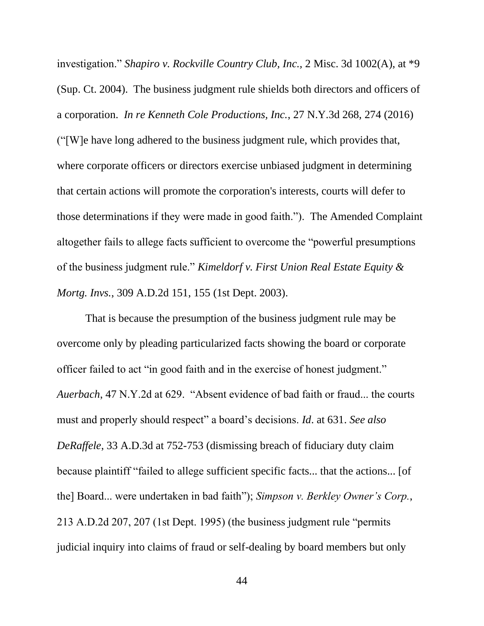<span id="page-54-4"></span><span id="page-54-2"></span>investigation." *Shapiro v. Rockville Country Club, Inc.,* 2 Misc. 3d 1002(A), at \*9 (Sup. Ct. 2004). The business judgment rule shields both directors and officers of a corporation. *In re Kenneth Cole Productions, Inc.*, 27 N.Y.3d 268, 274 (2016) ("[W]e have long adhered to the business judgment rule, which provides that, where corporate officers or directors exercise unbiased judgment in determining that certain actions will promote the corporation's interests, courts will defer to those determinations if they were made in good faith."). The Amended Complaint altogether fails to allege facts sufficient to overcome the "powerful presumptions of the business judgment rule." *Kimeldorf v. First Union Real Estate Equity & Mortg. Invs.*, 309 A.D.2d 151, 155 (1st Dept. 2003).

<span id="page-54-5"></span><span id="page-54-3"></span><span id="page-54-1"></span><span id="page-54-0"></span>That is because the presumption of the business judgment rule may be overcome only by pleading particularized facts showing the board or corporate officer failed to act "in good faith and in the exercise of honest judgment." *Auerbach*, 47 N.Y.2d at 629. "Absent evidence of bad faith or fraud... the courts must and properly should respect" a board's decisions. *Id*. at 631. *See also DeRaffele*, 33 A.D.3d at 752-753 (dismissing breach of fiduciary duty claim because plaintiff "failed to allege sufficient specific facts... that the actions... [of the] Board... were undertaken in bad faith"); *Simpson v. Berkley Owner's Corp.*, 213 A.D.2d 207, 207 (1st Dept. 1995) (the business judgment rule "permits judicial inquiry into claims of fraud or self-dealing by board members but only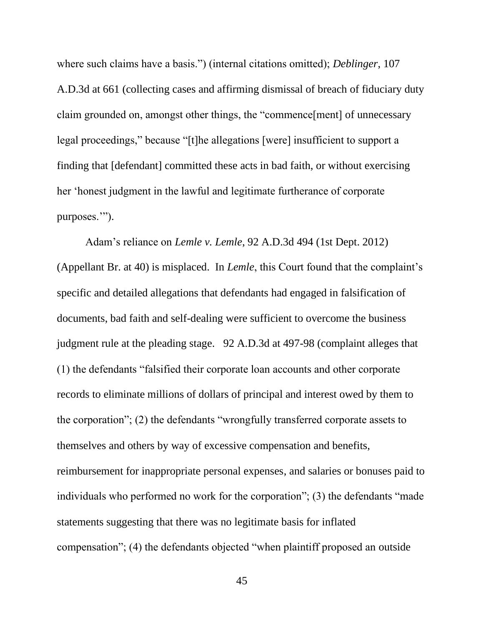where such claims have a basis.") (internal citations omitted); *Deblinger*, 107 A.D.3d at 661 (collecting cases and affirming dismissal of breach of fiduciary duty claim grounded on, amongst other things, the "commence[ment] of unnecessary legal proceedings," because "[t]he allegations [were] insufficient to support a finding that [defendant] committed these acts in bad faith, or without exercising her 'honest judgment in the lawful and legitimate furtherance of corporate purposes.'").

<span id="page-55-0"></span>Adam's reliance on *Lemle v. Lemle*, 92 A.D.3d 494 (1st Dept. 2012) (Appellant Br. at 40) is misplaced. In *Lemle*, this Court found that the complaint's specific and detailed allegations that defendants had engaged in falsification of documents, bad faith and self-dealing were sufficient to overcome the business judgment rule at the pleading stage. 92 A.D.3d at 497-98 (complaint alleges that (1) the defendants "falsified their corporate loan accounts and other corporate records to eliminate millions of dollars of principal and interest owed by them to the corporation"; (2) the defendants "wrongfully transferred corporate assets to themselves and others by way of excessive compensation and benefits, reimbursement for inappropriate personal expenses, and salaries or bonuses paid to individuals who performed no work for the corporation"; (3) the defendants "made statements suggesting that there was no legitimate basis for inflated compensation"; (4) the defendants objected "when plaintiff proposed an outside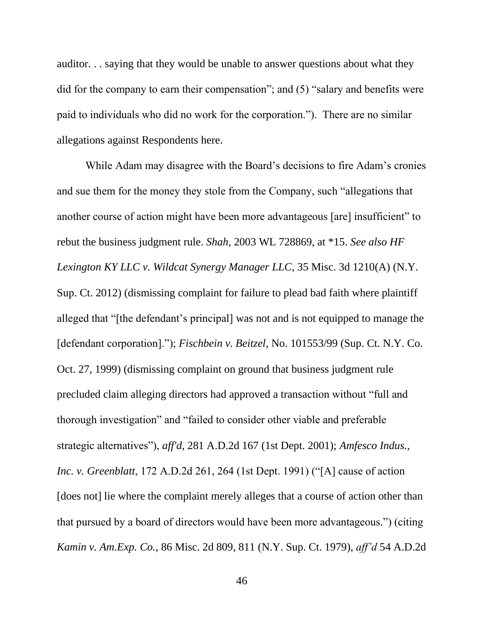auditor. . . saying that they would be unable to answer questions about what they did for the company to earn their compensation"; and (5) "salary and benefits were paid to individuals who did no work for the corporation."). There are no similar allegations against Respondents here.

<span id="page-56-2"></span><span id="page-56-1"></span><span id="page-56-0"></span>While Adam may disagree with the Board's decisions to fire Adam's cronies and sue them for the money they stole from the Company, such "allegations that another course of action might have been more advantageous [are] insufficient" to rebut the business judgment rule. *Shah*, 2003 WL 728869, at \*15. *See also HF Lexington KY LLC v. Wildcat Synergy Manager LLC*, 35 Misc. 3d 1210(A) (N.Y. Sup. Ct. 2012) (dismissing complaint for failure to plead bad faith where plaintiff alleged that "[the defendant's principal] was not and is not equipped to manage the [defendant corporation]."); *Fischbein v. Beitzel*, No. 101553/99 (Sup. Ct. N.Y. Co. Oct. 27, 1999) (dismissing complaint on ground that business judgment rule precluded claim alleging directors had approved a transaction without "full and thorough investigation" and "failed to consider other viable and preferable strategic alternatives"), *aff'd*, 281 A.D.2d 167 (1st Dept. 2001); *Amfesco Indus., Inc. v. Greenblatt*, 172 A.D.2d 261, 264 (1st Dept. 1991) ("[A] cause of action [does not] lie where the complaint merely alleges that a course of action other than that pursued by a board of directors would have been more advantageous.") (citing *Kamin v. Am.Exp. Co.*, 86 Misc. 2d 809, 811 (N.Y. Sup. Ct. 1979), *aff'd* 54 A.D.2d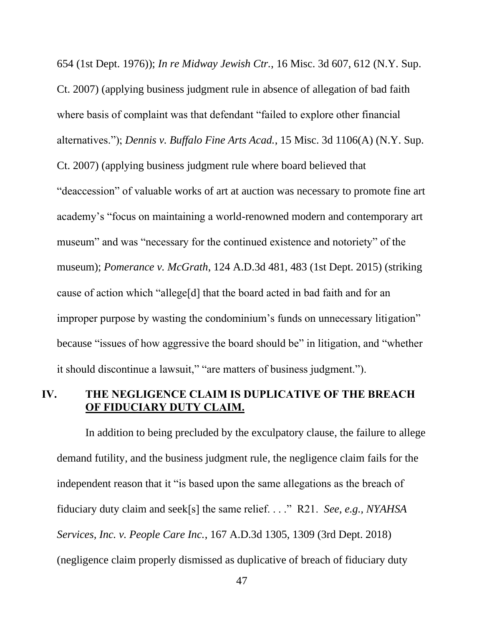<span id="page-57-2"></span><span id="page-57-1"></span>654 (1st Dept. 1976)); *In re Midway Jewish Ctr.*, 16 Misc. 3d 607, 612 (N.Y. Sup. Ct. 2007) (applying business judgment rule in absence of allegation of bad faith where basis of complaint was that defendant "failed to explore other financial alternatives."); *Dennis v. Buffalo Fine Arts Acad.*, 15 Misc. 3d 1106(A) (N.Y. Sup. Ct. 2007) (applying business judgment rule where board believed that "deaccession" of valuable works of art at auction was necessary to promote fine art academy's "focus on maintaining a world-renowned modern and contemporary art museum" and was "necessary for the continued existence and notoriety" of the museum); *Pomerance v. McGrath*, 124 A.D.3d 481, 483 (1st Dept. 2015) (striking cause of action which "allege[d] that the board acted in bad faith and for an improper purpose by wasting the condominium's funds on unnecessary litigation" because "issues of how aggressive the board should be" in litigation, and "whether it should discontinue a lawsuit," "are matters of business judgment.").

## <span id="page-57-4"></span><span id="page-57-0"></span>**IV. THE NEGLIGENCE CLAIM IS DUPLICATIVE OF THE BREACH OF FIDUCIARY DUTY CLAIM.**

<span id="page-57-3"></span>In addition to being precluded by the exculpatory clause, the failure to allege demand futility, and the business judgment rule, the negligence claim fails for the independent reason that it "is based upon the same allegations as the breach of fiduciary duty claim and seek[s] the same relief. . . ." R21. *See, e.g., NYAHSA Services, Inc. v. People Care Inc.*, 167 A.D.3d 1305, 1309 (3rd Dept. 2018) (negligence claim properly dismissed as duplicative of breach of fiduciary duty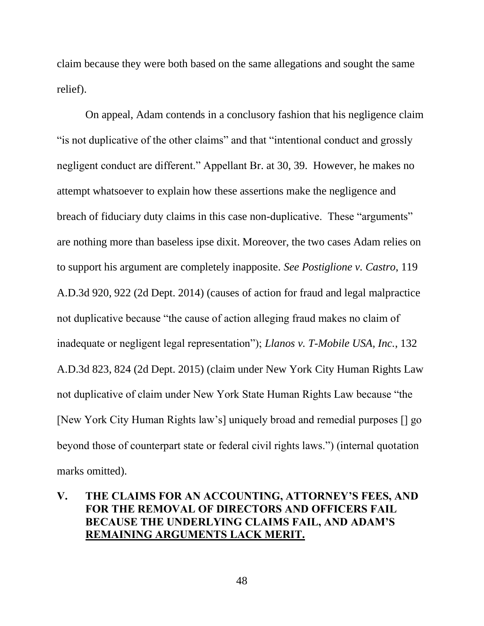claim because they were both based on the same allegations and sought the same relief).

<span id="page-58-2"></span>On appeal, Adam contends in a conclusory fashion that his negligence claim "is not duplicative of the other claims" and that "intentional conduct and grossly negligent conduct are different." Appellant Br. at 30, 39. However, he makes no attempt whatsoever to explain how these assertions make the negligence and breach of fiduciary duty claims in this case non-duplicative. These "arguments" are nothing more than baseless ipse dixit. Moreover, the two cases Adam relies on to support his argument are completely inapposite. *See Postiglione v. Castro*, 119 A.D.3d 920, 922 (2d Dept. 2014) (causes of action for fraud and legal malpractice not duplicative because "the cause of action alleging fraud makes no claim of inadequate or negligent legal representation"); *Llanos v. T-Mobile USA, Inc.*, 132 A.D.3d 823, 824 (2d Dept. 2015) (claim under New York City Human Rights Law not duplicative of claim under New York State Human Rights Law because "the [New York City Human Rights law's] uniquely broad and remedial purposes [] go beyond those of counterpart state or federal civil rights laws.") (internal quotation marks omitted).

## <span id="page-58-1"></span><span id="page-58-0"></span>**V. THE CLAIMS FOR AN ACCOUNTING, ATTORNEY'S FEES, AND FOR THE REMOVAL OF DIRECTORS AND OFFICERS FAIL BECAUSE THE UNDERLYING CLAIMS FAIL, AND ADAM'S REMAINING ARGUMENTS LACK MERIT.**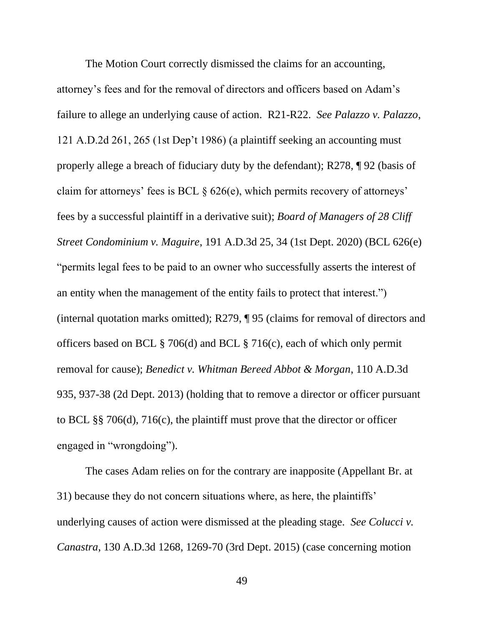<span id="page-59-4"></span><span id="page-59-3"></span><span id="page-59-1"></span>The Motion Court correctly dismissed the claims for an accounting, attorney's fees and for the removal of directors and officers based on Adam's failure to allege an underlying cause of action. R21-R22. *See Palazzo v. Palazzo*, 121 A.D.2d 261, 265 (1st Dep't 1986) (a plaintiff seeking an accounting must properly allege a breach of fiduciary duty by the defendant); R278, ¶ 92 (basis of claim for attorneys' fees is BCL  $\S 626(e)$ , which permits recovery of attorneys' fees by a successful plaintiff in a derivative suit); *Board of Managers of 28 Cliff Street Condominium v. Maguire*, 191 A.D.3d 25, 34 (1st Dept. 2020) (BCL 626(e) "permits legal fees to be paid to an owner who successfully asserts the interest of an entity when the management of the entity fails to protect that interest.") (internal quotation marks omitted); R279, ¶ 95 (claims for removal of directors and officers based on BCL § 706(d) and BCL § 716(c), each of which only permit removal for cause); *Benedict v. Whitman Bereed Abbot & Morgan*, 110 A.D.3d 935, 937-38 (2d Dept. 2013) (holding that to remove a director or officer pursuant to BCL §§ 706(d), 716(c), the plaintiff must prove that the director or officer engaged in "wrongdoing").

<span id="page-59-7"></span><span id="page-59-6"></span><span id="page-59-5"></span><span id="page-59-2"></span><span id="page-59-0"></span>The cases Adam relies on for the contrary are inapposite (Appellant Br. at 31) because they do not concern situations where, as here, the plaintiffs' underlying causes of action were dismissed at the pleading stage. *See Colucci v. Canastra*, 130 A.D.3d 1268, 1269-70 (3rd Dept. 2015) (case concerning motion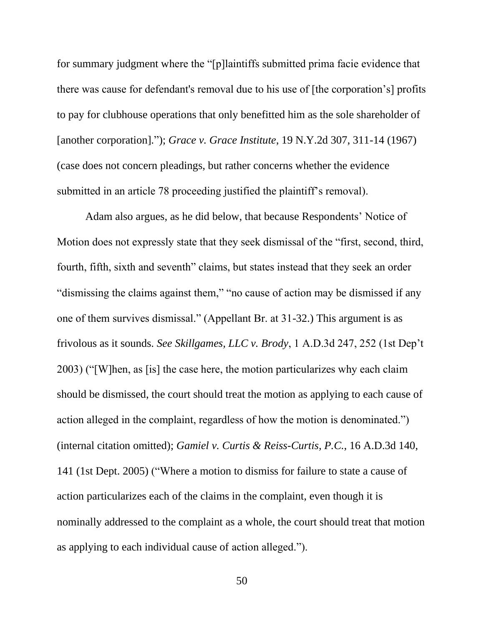<span id="page-60-1"></span>for summary judgment where the "[p]laintiffs submitted prima facie evidence that there was cause for defendant's removal due to his use of [the corporation's] profits to pay for clubhouse operations that only benefitted him as the sole shareholder of [another corporation]."); *Grace v. Grace Institute*, 19 N.Y.2d 307, 311-14 (1967) (case does not concern pleadings, but rather concerns whether the evidence submitted in an article 78 proceeding justified the plaintiff's removal).

<span id="page-60-2"></span><span id="page-60-0"></span>Adam also argues, as he did below, that because Respondents' Notice of Motion does not expressly state that they seek dismissal of the "first, second, third, fourth, fifth, sixth and seventh" claims, but states instead that they seek an order "dismissing the claims against them," "no cause of action may be dismissed if any one of them survives dismissal." (Appellant Br. at 31-32.) This argument is as frivolous as it sounds. *See Skillgames, LLC v. Brody*, 1 A.D.3d 247, 252 (1st Dep't 2003) ("[W]hen, as [is] the case here, the motion particularizes why each claim should be dismissed, the court should treat the motion as applying to each cause of action alleged in the complaint, regardless of how the motion is denominated.") (internal citation omitted); *Gamiel v. Curtis & Reiss-Curtis, P.C.*, 16 A.D.3d 140, 141 (1st Dept. 2005) ("Where a motion to dismiss for failure to state a cause of action particularizes each of the claims in the complaint, even though it is nominally addressed to the complaint as a whole, the court should treat that motion as applying to each individual cause of action alleged.").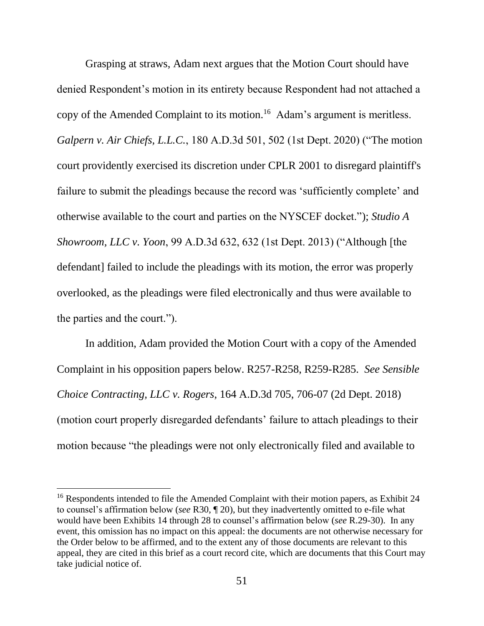<span id="page-61-3"></span><span id="page-61-0"></span>Grasping at straws, Adam next argues that the Motion Court should have denied Respondent's motion in its entirety because Respondent had not attached a copy of the Amended Complaint to its motion.<sup>16</sup> Adam's argument is meritless. *Galpern v. Air Chiefs, L.L.C.*, 180 A.D.3d 501, 502 (1st Dept. 2020) ("The motion court providently exercised its discretion under CPLR 2001 to disregard plaintiff's failure to submit the pleadings because the record was 'sufficiently complete' and otherwise available to the court and parties on the NYSCEF docket."); *Studio A Showroom, LLC v. Yoon*, 99 A.D.3d 632, 632 (1st Dept. 2013) ("Although [the defendant] failed to include the pleadings with its motion, the error was properly overlooked, as the pleadings were filed electronically and thus were available to the parties and the court.").

<span id="page-61-2"></span><span id="page-61-1"></span>In addition, Adam provided the Motion Court with a copy of the Amended Complaint in his opposition papers below. R257-R258, R259-R285. *See Sensible Choice Contracting, LLC v. Rogers*, 164 A.D.3d 705, 706-07 (2d Dept. 2018) (motion court properly disregarded defendants' failure to attach pleadings to their motion because "the pleadings were not only electronically filed and available to

<sup>&</sup>lt;sup>16</sup> Respondents intended to file the Amended Complaint with their motion papers, as Exhibit 24 to counsel's affirmation below (*see* R30, ¶ 20), but they inadvertently omitted to e-file what would have been Exhibits 14 through 28 to counsel's affirmation below (*see* R.29-30). In any event, this omission has no impact on this appeal: the documents are not otherwise necessary for the Order below to be affirmed, and to the extent any of those documents are relevant to this appeal, they are cited in this brief as a court record cite, which are documents that this Court may take judicial notice of.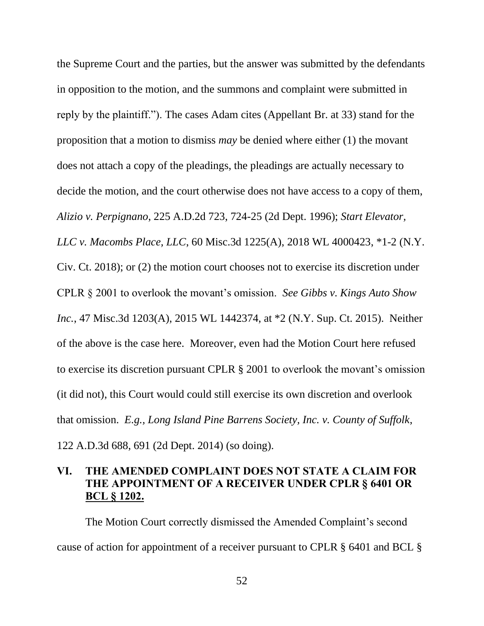<span id="page-62-4"></span><span id="page-62-1"></span>the Supreme Court and the parties, but the answer was submitted by the defendants in opposition to the motion, and the summons and complaint were submitted in reply by the plaintiff."). The cases Adam cites (Appellant Br. at 33) stand for the proposition that a motion to dismiss *may* be denied where either (1) the movant does not attach a copy of the pleadings, the pleadings are actually necessary to decide the motion, and the court otherwise does not have access to a copy of them, *Alizio v. Perpignano*, 225 A.D.2d 723, 724-25 (2d Dept. 1996); *Start Elevator, LLC v. Macombs Place, LLC*, 60 Misc.3d 1225(A), 2018 WL 4000423, \*1-2 (N.Y. Civ. Ct. 2018); or (2) the motion court chooses not to exercise its discretion under CPLR § 2001 to overlook the movant's omission. *See Gibbs v. Kings Auto Show Inc.*, 47 Misc.3d 1203(A), 2015 WL 1442374, at \*2 (N.Y. Sup. Ct. 2015). Neither of the above is the case here. Moreover, even had the Motion Court here refused to exercise its discretion pursuant CPLR § 2001 to overlook the movant's omission (it did not), this Court would could still exercise its own discretion and overlook that omission. *E.g., Long Island Pine Barrens Society, Inc. v. County of Suffolk*, 122 A.D.3d 688, 691 (2d Dept. 2014) (so doing).

## <span id="page-62-5"></span><span id="page-62-3"></span><span id="page-62-2"></span><span id="page-62-0"></span>**VI. THE AMENDED COMPLAINT DOES NOT STATE A CLAIM FOR THE APPOINTMENT OF A RECEIVER UNDER CPLR § 6401 OR BCL § 1202.**

<span id="page-62-6"></span>The Motion Court correctly dismissed the Amended Complaint's second cause of action for appointment of a receiver pursuant to CPLR § 6401 and BCL §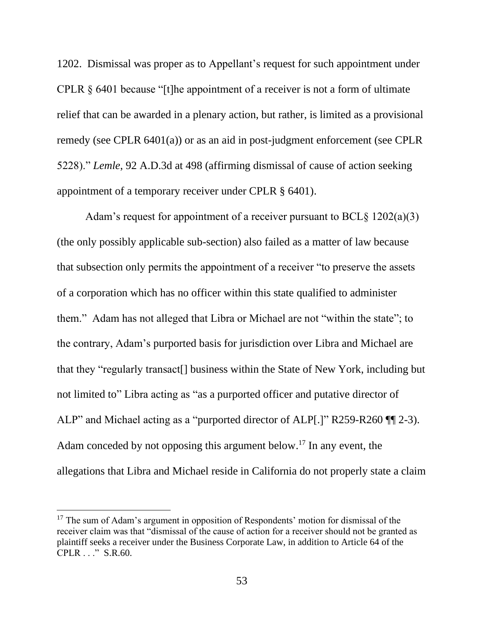<span id="page-63-1"></span>1202. Dismissal was proper as to Appellant's request for such appointment under CPLR  $\S$  6401 because "[t]he appointment of a receiver is not a form of ultimate relief that can be awarded in a plenary action, but rather, is limited as a provisional remedy (see CPLR 6401(a)) or as an aid in post-judgment enforcement (see CPLR 5228)." *Lemle*, 92 A.D.3d at 498 (affirming dismissal of cause of action seeking appointment of a temporary receiver under CPLR § 6401).

<span id="page-63-0"></span>Adam's request for appointment of a receiver pursuant to  $BCL§ 1202(a)(3)$ (the only possibly applicable sub-section) also failed as a matter of law because that subsection only permits the appointment of a receiver "to preserve the assets of a corporation which has no officer within this state qualified to administer them." Adam has not alleged that Libra or Michael are not "within the state"; to the contrary, Adam's purported basis for jurisdiction over Libra and Michael are that they "regularly transact[] business within the State of New York, including but not limited to" Libra acting as "as a purported officer and putative director of ALP" and Michael acting as a "purported director of ALP[.]" R259-R260 ¶¶ 2-3). Adam conceded by not opposing this argument below. <sup>17</sup> In any event, the allegations that Libra and Michael reside in California do not properly state a claim

 $17$  The sum of Adam's argument in opposition of Respondents' motion for dismissal of the receiver claim was that "dismissal of the cause of action for a receiver should not be granted as plaintiff seeks a receiver under the Business Corporate Law, in addition to Article 64 of the CPLR . . ." S.R.60.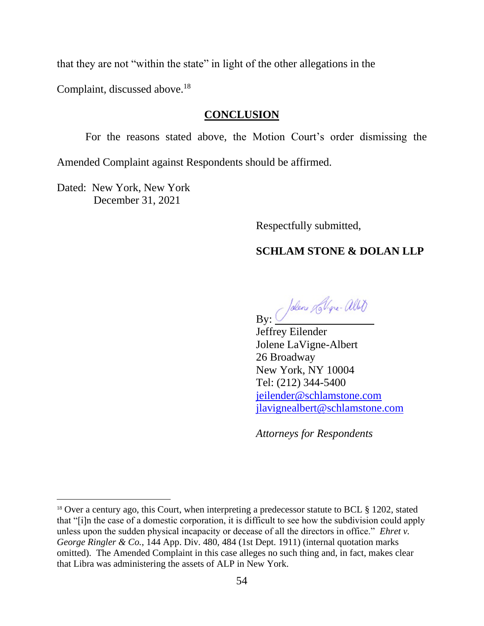that they are not "within the state" in light of the other allegations in the

Complaint, discussed above.<sup>18</sup>

#### **CONCLUSION**

<span id="page-64-0"></span>For the reasons stated above, the Motion Court's order dismissing the Amended Complaint against Respondents should be affirmed.

Dated: New York, New York December 31, 2021

Respectfully submitted,

#### **SCHLAM STONE & DOLAN LLP**

By: Jolen Lollipe-aller

Jeffrey Eilender Jolene LaVigne-Albert 26 Broadway New York, NY 10004 Tel: (212) 344-5400 [jeilender@schlamstone.com](mailto:jeilender@schlamstone.com) [jlavignealbert@schlamstone.com](mailto:jlavignealbert@schlamstone.com)

<span id="page-64-1"></span>*Attorneys for Respondents*

<sup>&</sup>lt;sup>18</sup> Over a century ago, this Court, when interpreting a predecessor statute to BCL § 1202, stated that "[i]n the case of a domestic corporation, it is difficult to see how the subdivision could apply unless upon the sudden physical incapacity or decease of all the directors in office." *Ehret v. George Ringler & Co.*, 144 App. Div. 480, 484 (1st Dept. 1911) (internal quotation marks omitted). The Amended Complaint in this case alleges no such thing and, in fact, makes clear that Libra was administering the assets of ALP in New York.